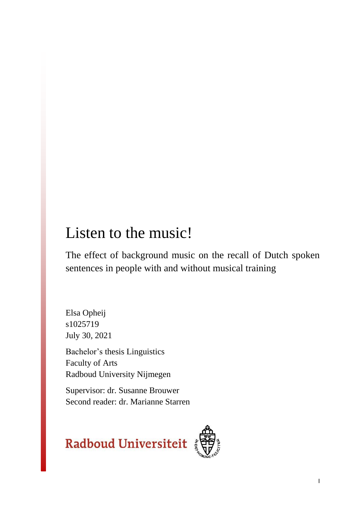# Listen to the music!

The effect of background music on the recall of Dutch spoken sentences in people with and without musical training

Elsa Opheij s1025719 July 30, 2021

Bachelor's thesis Linguistics Faculty of Arts Radboud University Nijmegen

Supervisor: dr. Susanne Brouwer Second reader: dr. Marianne Starren



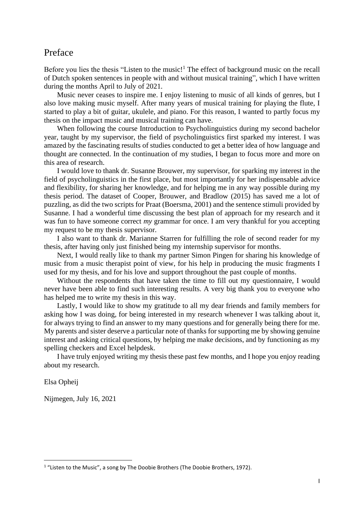## <span id="page-1-0"></span>Preface

Before you lies the thesis "Listen to the music!<sup>1</sup> The effect of background music on the recall of Dutch spoken sentences in people with and without musical training", which I have written during the months April to July of 2021.

Music never ceases to inspire me. I enjoy listening to music of all kinds of genres, but I also love making music myself. After many years of musical training for playing the flute, I started to play a bit of guitar, ukulele, and piano. For this reason, I wanted to partly focus my thesis on the impact music and musical training can have.

When following the course Introduction to Psycholinguistics during my second bachelor year, taught by my supervisor, the field of psycholinguistics first sparked my interest. I was amazed by the fascinating results of studies conducted to get a better idea of how language and thought are connected. In the continuation of my studies, I began to focus more and more on this area of research.

I would love to thank dr. Susanne Brouwer, my supervisor, for sparking my interest in the field of psycholinguistics in the first place, but most importantly for her indispensable advice and flexibility, for sharing her knowledge, and for helping me in any way possible during my thesis period. The dataset of Cooper, Brouwer, and Bradlow (2015) has saved me a lot of puzzling, as did the two scripts for Praat (Boersma, 2001) and the sentence stimuli provided by Susanne. I had a wonderful time discussing the best plan of approach for my research and it was fun to have someone correct *my* grammar for once. I am very thankful for you accepting my request to be my thesis supervisor.

I also want to thank dr. Marianne Starren for fulfilling the role of second reader for my thesis, after having only just finished being my internship supervisor for months.

Next, I would really like to thank my partner Simon Pingen for sharing his knowledge of music from a music therapist point of view, for his help in producing the music fragments I used for my thesis, and for his love and support throughout the past couple of months.

Without the respondents that have taken the time to fill out my questionnaire, I would never have been able to find such interesting results. A very big thank you to everyone who has helped me to write my thesis in this way.

Lastly, I would like to show my gratitude to all my dear friends and family members for asking how I was doing, for being interested in my research whenever I was talking about it, for always trying to find an answer to my many questions and for generally being there for me. My parents and sister deserve a particular note of thanks for supporting me by showing genuine interest and asking critical questions, by helping me make decisions, and by functioning as my spelling checkers and Excel helpdesk.

I have truly enjoyed writing my thesis these past few months, and I hope you enjoy reading about my research.

Elsa Opheij

Nijmegen, July 16, 2021

 $1$  "Listen to the Music", a song by The Doobie Brothers (The Doobie Brothers, 1972).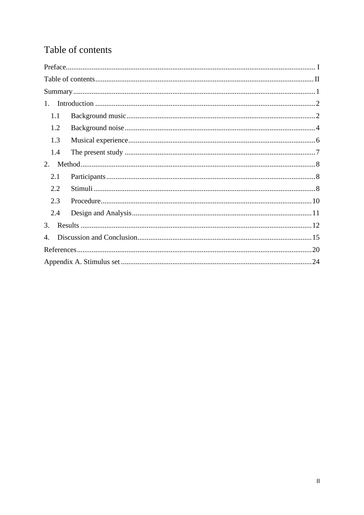## <span id="page-2-0"></span>Table of contents

| $1_{-}$        |  |
|----------------|--|
| 1.1            |  |
| 1.2            |  |
| 1.3            |  |
| 1.4            |  |
| 2.             |  |
| 2.1            |  |
| 2.2            |  |
| 2.3            |  |
| 2.4            |  |
| 3.             |  |
| $\mathbf{4}$ . |  |
|                |  |
|                |  |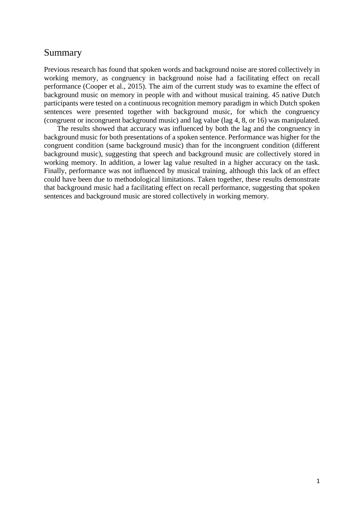## <span id="page-3-0"></span>Summary

Previous research has found that spoken words and background noise are stored collectively in working memory, as congruency in background noise had a facilitating effect on recall performance (Cooper et al., 2015). The aim of the current study was to examine the effect of background music on memory in people with and without musical training. 45 native Dutch participants were tested on a continuous recognition memory paradigm in which Dutch spoken sentences were presented together with background music, for which the congruency (congruent or incongruent background music) and lag value (lag 4, 8, or 16) was manipulated.

The results showed that accuracy was influenced by both the lag and the congruency in background music for both presentations of a spoken sentence. Performance was higher for the congruent condition (same background music) than for the incongruent condition (different background music), suggesting that speech and background music are collectively stored in working memory. In addition, a lower lag value resulted in a higher accuracy on the task. Finally, performance was not influenced by musical training, although this lack of an effect could have been due to methodological limitations. Taken together, these results demonstrate that background music had a facilitating effect on recall performance, suggesting that spoken sentences and background music are stored collectively in working memory.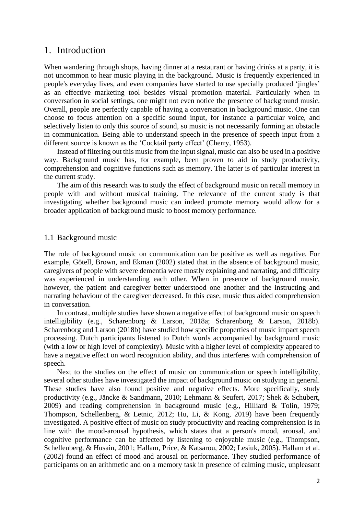## <span id="page-4-0"></span>1. Introduction

When wandering through shops, having dinner at a restaurant or having drinks at a party, it is not uncommon to hear music playing in the background. Music is frequently experienced in people's everyday lives, and even companies have started to use specially produced 'jingles' as an effective marketing tool besides visual promotion material. Particularly when in conversation in social settings, one might not even notice the presence of background music. Overall, people are perfectly capable of having a conversation in background music. One can choose to focus attention on a specific sound input, for instance a particular voice, and selectively listen to only this source of sound, so music is not necessarily forming an obstacle in communication. Being able to understand speech in the presence of speech input from a different source is known as the 'Cocktail party effect' (Cherry, 1953).

Instead of filtering out this music from the input signal, music can also be used in a positive way. Background music has, for example, been proven to aid in study productivity, comprehension and cognitive functions such as memory. The latter is of particular interest in the current study.

The aim of this research was to study the effect of background music on recall memory in people with and without musical training. The relevance of the current study is that investigating whether background music can indeed promote memory would allow for a broader application of background music to boost memory performance.

#### <span id="page-4-1"></span>1.1 Background music

The role of background music on communication can be positive as well as negative. For example, Götell, Brown, and Ekman (2002) stated that in the absence of background music, caregivers of people with severe dementia were mostly explaining and narrating, and difficulty was experienced in understanding each other. When in presence of background music, however, the patient and caregiver better understood one another and the instructing and narrating behaviour of the caregiver decreased. In this case, music thus aided comprehension in conversation.

In contrast, multiple studies have shown a negative effect of background music on speech intelligibility (e.g., Scharenborg & Larson, 2018a; Scharenborg & Larson, 2018b). Scharenborg and Larson (2018b) have studied how specific properties of music impact speech processing. Dutch participants listened to Dutch words accompanied by background music (with a low or high level of complexity). Music with a higher level of complexity appeared to have a negative effect on word recognition ability, and thus interferes with comprehension of speech.

Next to the studies on the effect of music on communication or speech intelligibility, several other studies have investigated the impact of background music on studying in general. These studies have also found positive and negative effects. More specifically, study productivity (e.g., Jäncke & Sandmann, 2010; Lehmann & Seufert, 2017; Shek & Schubert, 2009) and reading comprehension in background music (e.g., Hilliard & Tolin, 1979; Thompson, Schellenberg, & Letnic, 2012; Hu, Li, & Kong, 2019) have been frequently investigated. A positive effect of music on study productivity and reading comprehension is in line with the mood-arousal hypothesis, which states that a person's mood, arousal, and cognitive performance can be affected by listening to enjoyable music (e.g., Thompson, Schellenberg, & Husain, 2001; Hallam, Price, & Katsarou, 2002; Lesiuk, 2005). Hallam et al. (2002) found an effect of mood and arousal on performance. They studied performance of participants on an arithmetic and on a memory task in presence of calming music, unpleasant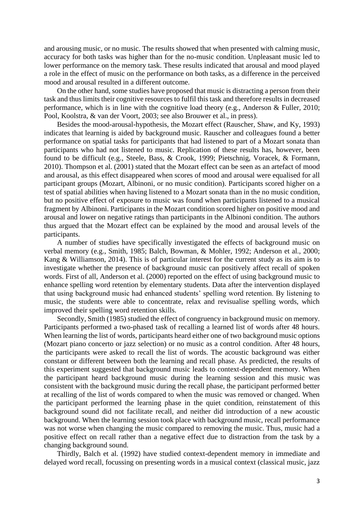and arousing music, or no music. The results showed that when presented with calming music, accuracy for both tasks was higher than for the no-music condition. Unpleasant music led to lower performance on the memory task. These results indicated that arousal and mood played a role in the effect of music on the performance on both tasks, as a difference in the perceived mood and arousal resulted in a different outcome.

On the other hand, some studies have proposed that music is distracting a person from their task and thus limits their cognitive resources to fulfil this task and therefore results in decreased performance, which is in line with the cognitive load theory (e.g., Anderson & Fuller, 2010; Pool, Koolstra, & van der Voort, 2003; see also Brouwer et al., in press).

Besides the mood-arousal-hypothesis, the Mozart effect (Rauscher, Shaw, and Ky, 1993) indicates that learning is aided by background music. Rauscher and colleagues found a better performance on spatial tasks for participants that had listened to part of a Mozart sonata than participants who had not listened to music. Replication of these results has, however, been found to be difficult (e.g., Steele, Bass, & Crook, 1999; Pietschnig, Voracek, & Formann, 2010). Thompson et al. (2001) stated that the Mozart effect can be seen as an artefact of mood and arousal, as this effect disappeared when scores of mood and arousal were equalised for all participant groups (Mozart, Albinoni, or no music condition). Participants scored higher on a test of spatial abilities when having listened to a Mozart sonata than in the no music condition, but no positive effect of exposure to music was found when participants listened to a musical fragment by Albinoni. Participants in the Mozart condition scored higher on positive mood and arousal and lower on negative ratings than participants in the Albinoni condition. The authors thus argued that the Mozart effect can be explained by the mood and arousal levels of the participants.

A number of studies have specifically investigated the effects of background music on verbal memory (e.g., Smith, 1985; Balch, Bowman, & Mohler, 1992; Anderson et al., 2000; Kang & Williamson, 2014). This is of particular interest for the current study as its aim is to investigate whether the presence of background music can positively affect recall of spoken words. First of all, Anderson et al. (2000) reported on the effect of using background music to enhance spelling word retention by elementary students. Data after the intervention displayed that using background music had enhanced students' spelling word retention. By listening to music, the students were able to concentrate, relax and revisualise spelling words, which improved their spelling word retention skills.

Secondly, Smith (1985) studied the effect of congruency in background music on memory. Participants performed a two-phased task of recalling a learned list of words after 48 hours. When learning the list of words, participants heard either one of two background music options (Mozart piano concerto or jazz selection) or no music as a control condition. After 48 hours, the participants were asked to recall the list of words. The acoustic background was either constant or different between both the learning and recall phase. As predicted, the results of this experiment suggested that background music leads to context-dependent memory. When the participant heard background music during the learning session and this music was consistent with the background music during the recall phase, the participant performed better at recalling of the list of words compared to when the music was removed or changed. When the participant performed the learning phase in the quiet condition, reinstatement of this background sound did not facilitate recall, and neither did introduction of a new acoustic background. When the learning session took place with background music, recall performance was not worse when changing the music compared to removing the music. Thus, music had a positive effect on recall rather than a negative effect due to distraction from the task by a changing background sound.

Thirdly, Balch et al. (1992) have studied context-dependent memory in immediate and delayed word recall, focussing on presenting words in a musical context (classical music, jazz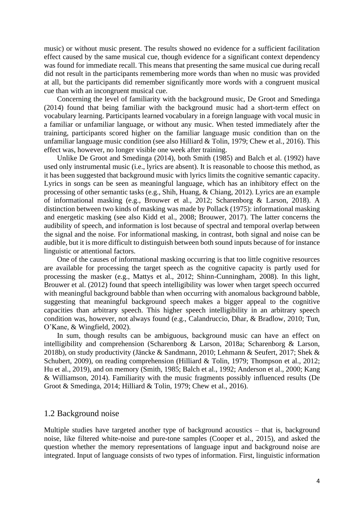music) or without music present. The results showed no evidence for a sufficient facilitation effect caused by the same musical cue, though evidence for a significant context dependency was found for immediate recall. This means that presenting the same musical cue during recall did not result in the participants remembering more words than when no music was provided at all, but the participants did remember significantly more words with a congruent musical cue than with an incongruent musical cue.

Concerning the level of familiarity with the background music, De Groot and Smedinga (2014) found that being familiar with the background music had a short-term effect on vocabulary learning. Participants learned vocabulary in a foreign language with vocal music in a familiar or unfamiliar language, or without any music. When tested immediately after the training, participants scored higher on the familiar language music condition than on the unfamiliar language music condition (see also Hilliard & Tolin, 1979; Chew et al., 2016). This effect was, however, no longer visible one week after training.

Unlike De Groot and Smedinga (2014), both Smith (1985) and Balch et al. (1992) have used only instrumental music (i.e., lyrics are absent). It is reasonable to choose this method, as it has been suggested that background music with lyrics limits the cognitive semantic capacity. Lyrics in songs can be seen as meaningful language, which has an inhibitory effect on the processing of other semantic tasks (e.g., Shih, Huang, & Chiang, 2012). Lyrics are an example of informational masking (e.g., Brouwer et al., 2012; Scharenborg & Larson, 2018). A distinction between two kinds of masking was made by Pollack (1975): informational masking and energetic masking (see also Kidd et al., 2008; Brouwer, 2017). The latter concerns the audibility of speech, and information is lost because of spectral and temporal overlap between the signal and the noise. For informational masking, in contrast, both signal and noise can be audible, but it is more difficult to distinguish between both sound inputs because of for instance linguistic or attentional factors.

One of the causes of informational masking occurring is that too little cognitive resources are available for processing the target speech as the cognitive capacity is partly used for processing the masker (e.g., Mattys et al., 2012; Shinn-Cunningham, 2008). In this light, Brouwer et al. (2012) found that speech intelligibility was lower when target speech occurred with meaningful background babble than when occurring with anomalous background babble, suggesting that meaningful background speech makes a bigger appeal to the cognitive capacities than arbitrary speech. This higher speech intelligibility in an arbitrary speech condition was, however, not always found (e.g., Calandruccio, Dhar, & Bradlow, 2010; Tun, O'Kane, & Wingfield, 2002).

In sum, though results can be ambiguous, background music can have an effect on intelligibility and comprehension (Scharenborg & Larson, 2018a; Scharenborg & Larson, 2018b), on study productivity (Jäncke & Sandmann, 2010; Lehmann & Seufert, 2017; Shek & Schubert, 2009), on reading comprehension (Hilliard & Tolin, 1979; Thompson et al., 2012; Hu et al., 2019), and on memory (Smith, 1985; Balch et al., 1992; Anderson et al., 2000; Kang & Williamson, 2014). Familiarity with the music fragments possibly influenced results (De Groot & Smedinga, 2014; Hilliard & Tolin, 1979; Chew et al., 2016).

#### <span id="page-6-0"></span>1.2 Background noise

Multiple studies have targeted another type of background acoustics – that is, background noise, like filtered white-noise and pure-tone samples (Cooper et al., 2015), and asked the question whether the memory representations of language input and background noise are integrated. Input of language consists of two types of information. First, linguistic information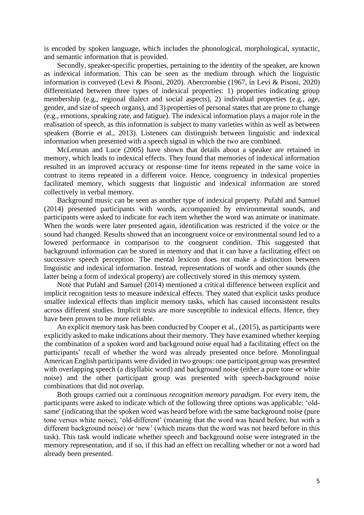is encoded by spoken language, which includes the phonological, morphological, syntactic, and semantic information that is provided.

Secondly, speaker-specific properties, pertaining to the identity of the speaker, are known as indexical information. This can be seen as the medium through which the linguistic information is conveyed (Levi & Pisoni, 2020). Abercrombie (1967, in Levi & Pisoni, 2020) differentiated between three types of indexical properties: 1) properties indicating group membership (e.g., regional dialect and social aspects), 2) individual properties (e.g., age, gender, and size of speech organs), and 3) properties of personal states that are prone to change (e.g., emotions, speaking rate, and fatigue). The indexical information plays a major role in the realisation of speech, as this information is subject to many varieties within as well as between speakers (Borrie et al., 2013). Listeners can distinguish between linguistic and indexical information when presented with a speech signal in which the two are combined.

McLennan and Luce (2005) have shown that details about a speaker are retained in memory, which leads to indexical effects. They found that memories of indexical information resulted in an improved accuracy or response time for items repeated in the same voice in contrast to items repeated in a different voice. Hence, congruency in indexical properties facilitated memory, which suggests that linguistic and indexical information are stored collectively in verbal memory.

Background music can be seen as another type of indexical property. Pufahl and Samuel (2014) presented participants with words, accompanied by environmental sounds, and participants were asked to indicate for each item whether the word was animate or inanimate. When the words were later presented again, identification was restricted if the voice or the sound had changed. Results showed that an incongruent voice or environmental sound led to a lowered performance in comparison to the congruent condition. This suggested that background information can be stored in memory and that it can have a facilitating effect on successive speech perception. The mental lexicon does not make a distinction between linguistic and indexical information. Instead, representations of words and other sounds (the latter being a form of indexical property) are collectively stored in this memory system.

Note that Pufahl and Samuel (2014) mentioned a critical difference between explicit and implicit recognition tests to measure indexical effects. They stated that explicit tasks produce smaller indexical effects than implicit memory tasks, which has caused inconsistent results across different studies. Implicit tests are more susceptible to indexical effects. Hence, they have been proven to be more reliable.

An explicit memory task has been conducted by Cooper et al., (2015), as participants were explicitly asked to make indications about their memory. They have examined whether keeping the combination of a spoken word and background noise equal had a facilitating effect on the participants' recall of whether the word was already presented once before. Monolingual American English participants were divided in two groups: one participant group was presented with overlapping speech (a disyllabic word) and background noise (either a pure tone or white noise) and the other participant group was presented with speech-background noise combinations that did not overlap.

Both groups carried out a *continuous recognition memory paradigm.* For every item, the participants were asked to indicate which of the following three options was applicable: 'oldsame' (indicating that the spoken word was heard before with the same background noise (pure tone versus white noise), 'old-different' (meaning that the word was heard before, but with a different background noise) or 'new' (which means that the word was not heard before in this task). This task would indicate whether speech and background noise were integrated in the memory representation, and if so, if this had an effect on recalling whether or not a word had already been presented.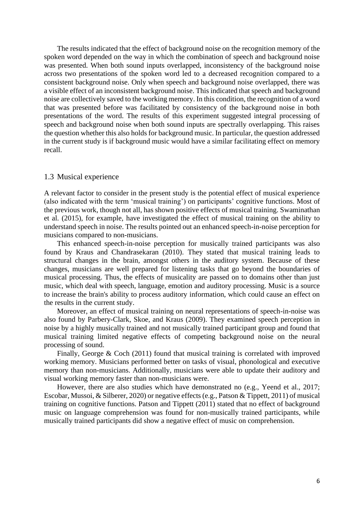The results indicated that the effect of background noise on the recognition memory of the spoken word depended on the way in which the combination of speech and background noise was presented. When both sound inputs overlapped, inconsistency of the background noise across two presentations of the spoken word led to a decreased recognition compared to a consistent background noise. Only when speech and background noise overlapped, there was a visible effect of an inconsistent background noise. This indicated that speech and background noise are collectively saved to the working memory. In this condition, the recognition of a word that was presented before was facilitated by consistency of the background noise in both presentations of the word. The results of this experiment suggested integral processing of speech and background noise when both sound inputs are spectrally overlapping. This raises the question whether this also holds for background music. In particular, the question addressed in the current study is if background music would have a similar facilitating effect on memory recall.

#### <span id="page-8-0"></span>1.3 Musical experience

A relevant factor to consider in the present study is the potential effect of musical experience (also indicated with the term 'musical training') on participants' cognitive functions. Most of the previous work, though not all, has shown positive effects of musical training. Swaminathan et al. (2015), for example, have investigated the effect of musical training on the ability to understand speech in noise. The results pointed out an enhanced speech-in-noise perception for musicians compared to non-musicians.

This enhanced speech-in-noise perception for musically trained participants was also found by Kraus and Chandrasekaran (2010). They stated that musical training leads to structural changes in the brain, amongst others in the auditory system. Because of these changes, musicians are well prepared for listening tasks that go beyond the boundaries of musical processing. Thus, the effects of musicality are passed on to domains other than just music, which deal with speech, language, emotion and auditory processing. Music is a source to increase the brain's ability to process auditory information, which could cause an effect on the results in the current study.

Moreover, an effect of musical training on neural representations of speech-in-noise was also found by Parbery-Clark, Skoe, and Kraus (2009). They examined speech perception in noise by a highly musically trained and not musically trained participant group and found that musical training limited negative effects of competing background noise on the neural processing of sound.

Finally, George & Coch (2011) found that musical training is correlated with improved working memory. Musicians performed better on tasks of visual, phonological and executive memory than non-musicians. Additionally, musicians were able to update their auditory and visual working memory faster than non-musicians were.

However, there are also studies which have demonstrated no (e.g., Yeend et al., 2017; Escobar, Mussoi, & Silberer, 2020) or negative effects (e.g., Patson & Tippett, 2011) of musical training on cognitive functions. Patson and Tippett (2011) stated that no effect of background music on language comprehension was found for non-musically trained participants, while musically trained participants did show a negative effect of music on comprehension.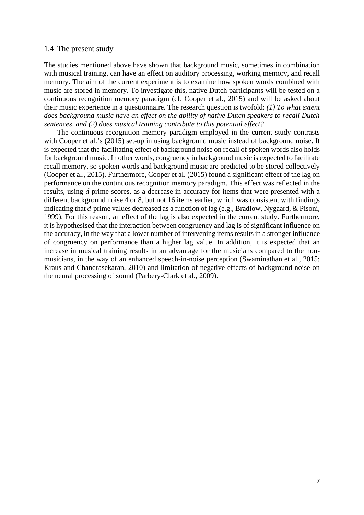#### <span id="page-9-0"></span>1.4 The present study

The studies mentioned above have shown that background music, sometimes in combination with musical training, can have an effect on auditory processing, working memory, and recall memory. The aim of the current experiment is to examine how spoken words combined with music are stored in memory. To investigate this, native Dutch participants will be tested on a continuous recognition memory paradigm (cf. Cooper et al., 2015) and will be asked about their music experience in a questionnaire. The research question is twofold: *(1) To what extent does background music have an effect on the ability of native Dutch speakers to recall Dutch sentences, and (2) does musical training contribute to this potential effect?*

The continuous recognition memory paradigm employed in the current study contrasts with Cooper et al.'s (2015) set-up in using background music instead of background noise. It is expected that the facilitating effect of background noise on recall of spoken words also holds for background music. In other words, congruency in background music is expected to facilitate recall memory, so spoken words and background music are predicted to be stored collectively (Cooper et al., 2015). Furthermore, Cooper et al. (2015) found a significant effect of the lag on performance on the continuous recognition memory paradigm. This effect was reflected in the results, using *d*-prime scores, as a decrease in accuracy for items that were presented with a different background noise 4 or 8, but not 16 items earlier, which was consistent with findings indicating that *d*-prime values decreased as a function of lag (e.g., Bradlow, Nygaard, & Pisoni, 1999). For this reason, an effect of the lag is also expected in the current study. Furthermore, it is hypothesised that the interaction between congruency and lag is of significant influence on the accuracy, in the way that a lower number of intervening items results in a stronger influence of congruency on performance than a higher lag value. In addition, it is expected that an increase in musical training results in an advantage for the musicians compared to the nonmusicians, in the way of an enhanced speech-in-noise perception (Swaminathan et al., 2015; Kraus and Chandrasekaran, 2010) and limitation of negative effects of background noise on the neural processing of sound (Parbery-Clark et al., 2009).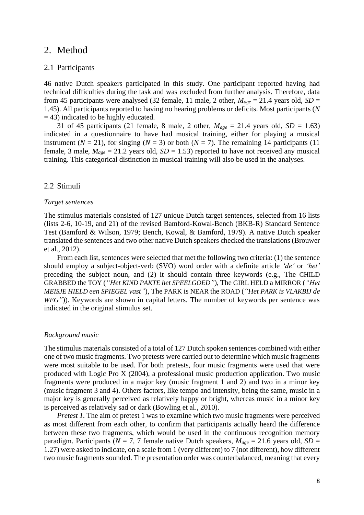## <span id="page-10-0"></span>2. Method

#### <span id="page-10-1"></span>2.1 Participants

46 native Dutch speakers participated in this study. One participant reported having had technical difficulties during the task and was excluded from further analysis. Therefore, data from 45 participants were analysed (32 female, 11 male, 2 other,  $M_{age} = 21.4$  years old,  $SD =$ 1.45). All participants reported to having no hearing problems or deficits. Most participants (*N*   $=$  43) indicated to be highly educated.

31 of 45 participants (21 female, 8 male, 2 other,  $M_{age} = 21.4$  years old,  $SD = 1.63$ ) indicated in a questionnaire to have had musical training, either for playing a musical instrument ( $N = 21$ ), for singing ( $N = 3$ ) or both ( $N = 7$ ). The remaining 14 participants (11) female, 3 male,  $M_{age} = 21.2$  years old,  $SD = 1.53$ ) reported to have not received any musical training. This categorical distinction in musical training will also be used in the analyses.

#### <span id="page-10-2"></span>2.2 Stimuli

#### *Target sentences*

The stimulus materials consisted of 127 unique Dutch target sentences, selected from 16 lists (lists 2-6, 10-19, and 21) of the revised Bamford-Kowal-Bench (BKB-R) Standard Sentence Test (Bamford & Wilson, 1979; Bench, Kowal, & Bamford, 1979). A native Dutch speaker translated the sentences and two other native Dutch speakers checked the translations (Brouwer et al., 2012).

From each list, sentences were selected that met the following two criteria: (1) the sentence should employ a subject-object-verb (SVO) word order with a definite article *'de'* or *'het'* preceding the subject noun, and (2) it should contain three keywords (e.g., The CHILD GRABBED the TOY (*"Het KIND PAKTE het SPEELGOED"*), The GIRL HELD a MIRROR (*"Het MEISJE HIELD een SPIEGEL vast"*), The PARK is NEAR the ROAD (*"Het PARK is VLAKBIJ de WEG*<sup>"</sup>)). Keywords are shown in capital letters. The number of keywords per sentence was indicated in the original stimulus set.

#### *Background music*

The stimulus materials consisted of a total of 127 Dutch spoken sentences combined with either one of two music fragments. Two pretests were carried out to determine which music fragments were most suitable to be used. For both pretests, four music fragments were used that were produced with Logic Pro X (2004), a professional music production application. Two music fragments were produced in a major key (music fragment 1 and 2) and two in a minor key (music fragment 3 and 4). Others factors, like tempo and intensity, being the same, music in a major key is generally perceived as relatively happy or bright, whereas music in a minor key is perceived as relatively sad or dark (Bowling et al., 2010).

*Pretest 1*. The aim of pretest 1 was to examine which two music fragments were perceived as most different from each other, to confirm that participants actually heard the difference between these two fragments, which would be used in the continuous recognition memory paradigm. Participants ( $N = 7$ , 7 female native Dutch speakers,  $M_{age} = 21.6$  years old,  $SD =$ 1.27) were asked to indicate, on a scale from 1 (very different) to 7 (not different), how different two music fragments sounded. The presentation order was counterbalanced, meaning that every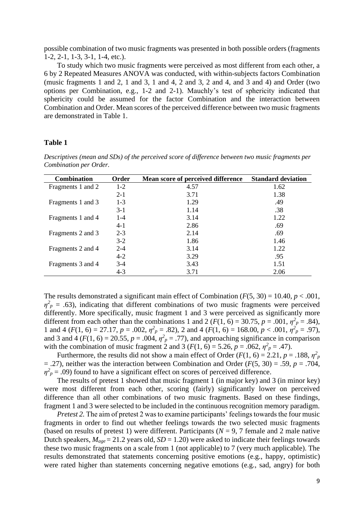possible combination of two music fragments was presented in both possible orders (fragments 1-2, 2-1, 1-3, 3-1, 1-4, etc.).

To study which two music fragments were perceived as most different from each other, a 6 by 2 Repeated Measures ANOVA was conducted, with within-subjects factors Combination (music fragments 1 and 2, 1 and 3, 1 and 4, 2 and 3, 2 and 4, and 3 and 4) and Order (two options per Combination, e.g., 1-2 and 2-1). Mauchly's test of sphericity indicated that sphericity could be assumed for the factor Combination and the interaction between Combination and Order. Mean scores of the perceived difference between two music fragments are demonstrated in Table 1.

#### **Table 1**

*Descriptives (mean and SDs) of the perceived score of difference between two music fragments per* 

| Descriptives (mean and SDs) of the perceived score of difference between two music fragments per |  |  |
|--------------------------------------------------------------------------------------------------|--|--|
| Combination per Order.                                                                           |  |  |
|                                                                                                  |  |  |

| <b>Combination</b> | Order   | Mean score of perceived difference | <b>Standard deviation</b> |
|--------------------|---------|------------------------------------|---------------------------|
| Fragments 1 and 2  | $1-2$   | 4.57                               | 1.62                      |
|                    | $2 - 1$ | 3.71                               | 1.38                      |
| Fragments 1 and 3  | $1-3$   | 1.29                               | .49                       |
|                    | $3-1$   | 1.14                               | .38                       |
| Fragments 1 and 4  | $1 - 4$ | 3.14                               | 1.22                      |
|                    | $4-1$   | 2.86                               | .69                       |
| Fragments 2 and 3  | $2 - 3$ | 2.14                               | .69                       |
|                    | $3-2$   | 1.86                               | 1.46                      |
| Fragments 2 and 4  | $2 - 4$ | 3.14                               | 1.22                      |
|                    | $4 - 2$ | 3.29                               | .95                       |
| Fragments 3 and 4  | $3-4$   | 3.43                               | 1.51                      |
|                    | $4 - 3$ | 3.71                               | 2.06                      |

The results demonstrated a significant main effect of Combination  $(F(5, 30) = 10.40, p < .001,$  $\eta^2$ <sub>*p*</sub> = .63), indicating that different combinations of two music fragments were perceived differently. More specifically, music fragment 1 and 3 were perceived as significantly more different from each other than the combinations 1 and 2 ( $F(1, 6) = 30.75$ ,  $p = .001$ ,  $\eta^2_p = .84$ ), 1 and 4 ( $F(1, 6) = 27.17$ ,  $p = .002$ ,  $\eta^2_p = .82$ ), 2 and 4 ( $F(1, 6) = 168.00$ ,  $p < .001$ ,  $\eta^2_p = .97$ ), and 3 and 4 ( $F(1, 6) = 20.55$ ,  $p = .004$ ,  $\eta^2 p = .77$ ), and approaching significance in comparison with the combination of music fragment 2 and 3 ( $F(1, 6) = 5.26$ ,  $p = .062$ ,  $\eta^2 p = .47$ ).

Furthermore, the results did not show a main effect of Order ( $F(1, 6) = 2.21$ ,  $p = .188$ ,  $\eta_p^2$ = .27), neither was the interaction between Combination and Order (*F*(5, 30) = .59, *p* = .704,  $\eta^2$ <sub>*p*</sub> = .09) found to have a significant effect on scores of perceived difference.

The results of pretest 1 showed that music fragment 1 (in major key) and 3 (in minor key) were most different from each other, scoring (fairly) significantly lower on perceived difference than all other combinations of two music fragments. Based on these findings, fragment 1 and 3 were selected to be included in the continuous recognition memory paradigm.

*Pretest 2.* The aim of pretest 2 was to examine participants' feelings towards the four music fragments in order to find out whether feelings towards the two selected music fragments (based on results of pretest 1) were different. Participants ( $N = 9, 7$  female and 2 male native Dutch speakers,  $M_{age} = 21.2$  years old,  $SD = 1.20$ ) were asked to indicate their feelings towards these two music fragments on a scale from 1 (not applicable) to 7 (very much applicable). The results demonstrated that statements concerning positive emotions (e.g., happy, optimistic) were rated higher than statements concerning negative emotions (e.g., sad, angry) for both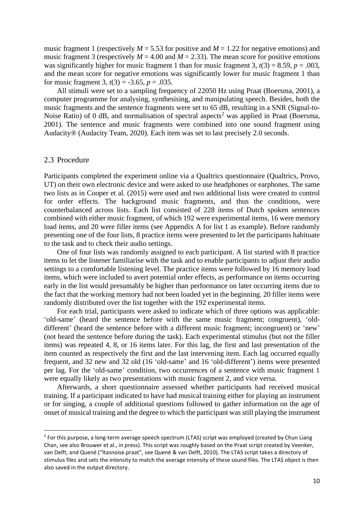music fragment 1 (respectively  $M = 5.53$  for positive and  $M = 1.22$  for negative emotions) and music fragment 3 (respectively  $M = 4.00$  and  $M = 2.33$ ). The mean score for positive emotions was significantly higher for music fragment 1 than for music fragment 3,  $t(3) = 8.59$ ,  $p = .003$ , and the mean score for negative emotions was significantly lower for music fragment 1 than for music fragment 3,  $t(3) = -3.65$ ,  $p = .035$ .

All stimuli were set to a sampling frequency of 22050 Hz using Praat (Boersma, 2001), a computer programme for analysing, synthesising, and manipulating speech. Besides, both the music fragments and the sentence fragments were set to 65 dB, resulting in a SNR (Signal-to-Noise Ratio) of 0 dB, and normalisation of spectral aspects<sup>2</sup> was applied in Praat (Boersma, 2001). The sentence and music fragments were combined into one sound fragment using Audacity® (Audacity Team, 2020). Each item was set to last precisely 2.0 seconds.

#### <span id="page-12-0"></span>2.3 Procedure

Participants completed the experiment online via a Qualtrics questionnaire (Qualtrics, Provo, UT) on their own electronic device and were asked to use headphones or earphones. The same two lists as in Cooper et al. (2015) were used and two additional lists were created to control for order effects. The background music fragments, and thus the conditions, were counterbalanced across lists. Each list consisted of 228 items of Dutch spoken sentences combined with either music fragment, of which 192 were experimental items, 16 were memory load items, and 20 were filler items (see Appendix A for list 1 as example). Before randomly presenting one of the four lists, 8 practice items were presented to let the participants habituate to the task and to check their audio settings.

One of four lists was randomly assigned to each participant. A list started with 8 practice items to let the listener familiarise with the task and to enable participants to adjust their audio settings to a comfortable listening level. The practice items were followed by 16 memory load items, which were included to avert potential order effects, as performance on items occurring early in the list would presumably be higher than performance on later occurring items due to the fact that the working memory had not been loaded yet in the beginning. 20 filler items were randomly distributed over the list together with the 192 experimental items.

For each trial, participants were asked to indicate which of three options was applicable: 'old-same' (heard the sentence before with the same music fragment; congruent), 'olddifferent' (heard the sentence before with a different music fragment; incongruent) or 'new' (not heard the sentence before during the task). Each experimental stimulus (but not the filler items) was repeated 4, 8, or 16 items later. For this lag, the first and last presentation of the item counted as respectively the first and the last intervening item. Each lag occurred equally frequent, and 32 new and 32 old (16 'old-same' and 16 'old-different') items were presented per lag. For the 'old-same' condition, two occurrences of a sentence with music fragment 1 were equally likely as two presentations with music fragment 2, and vice versa.

Afterwards, a short questionnaire assessed whether participants had received musical training. If a participant indicated to have had musical training either for playing an instrument or for singing, a couple of additional questions followed to gather information on the age of onset of musical training and the degree to which the participant was still playing the instrument

<sup>&</sup>lt;sup>2</sup> For this purpose, a long-term average speech spectrum (LTAS) script was employed (created by Chun Liang Chan, see also Brouwer et al., in press). This script was roughly based on the Praat script created by Veenker, van Delft, and Quené ("ltasnoise.praat", see Quené & van Delft, 2010). The LTAS script takes a directory of stimulus files and sets the intensity to match the average intensity of these sound files. The LTAS object is then also saved in the output directory.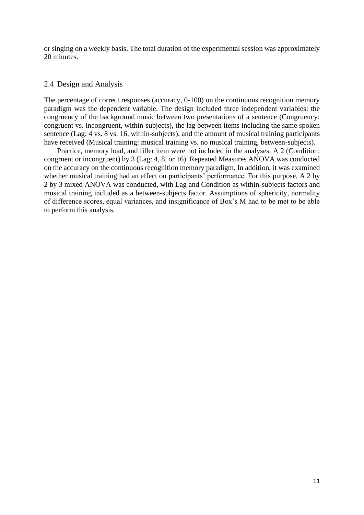or singing on a weekly basis. The total duration of the experimental session was approximately 20 minutes.

#### <span id="page-13-0"></span>2.4 Design and Analysis

The percentage of correct responses (accuracy, 0-100) on the continuous recognition memory paradigm was the dependent variable. The design included three independent variables: the congruency of the background music between two presentations of a sentence (Congruency: congruent vs. incongruent, within-subjects), the lag between items including the same spoken sentence (Lag: 4 vs. 8 vs. 16, within-subjects), and the amount of musical training participants have received (Musical training: musical training vs. no musical training, between-subjects).

Practice, memory load, and filler item were not included in the analyses. A 2 (Condition: congruent or incongruent) by 3 (Lag: 4, 8, or 16) Repeated Measures ANOVA was conducted on the accuracy on the continuous recognition memory paradigm. In addition, it was examined whether musical training had an effect on participants' performance. For this purpose, A 2 by 2 by 3 mixed ANOVA was conducted, with Lag and Condition as within-subjects factors and musical training included as a between-subjects factor. Assumptions of sphericity, normality of difference scores, equal variances, and insignificance of Box's M had to be met to be able to perform this analysis.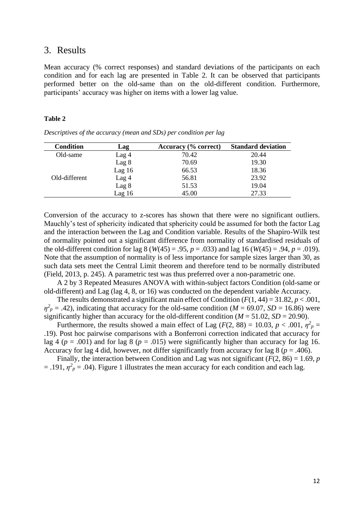## <span id="page-14-0"></span>3. Results

Mean accuracy (% correct responses) and standard deviations of the participants on each condition and for each lag are presented in Table 2. It can be observed that participants performed better on the old-same than on the old-different condition. Furthermore, participants' accuracy was higher on items with a lower lag value.

#### **Table 2**

*Descriptives of the accuracy (mean and SDs) per condition per lag*

| <b>Condition</b> | Lag              | Accuracy (% correct) | <b>Standard deviation</b> |
|------------------|------------------|----------------------|---------------------------|
| Old-same         | Lag 4            | 70.42                | 20.44                     |
|                  | Lag 8            | 70.69                | 19.30                     |
|                  | Lag $16$         | 66.53                | 18.36                     |
| Old-different    | Lag 4            | 56.81                | 23.92                     |
|                  | Lag <sub>8</sub> | 51.53                | 19.04                     |
|                  | Lag16            | 45.00                | 27.33                     |

Conversion of the accuracy to z-scores has shown that there were no significant outliers. Mauchly's test of sphericity indicated that sphericity could be assumed for both the factor Lag and the interaction between the Lag and Condition variable. Results of the Shapiro-Wilk test of normality pointed out a significant difference from normality of standardised residuals of the old-different condition for lag  $8 (W(45) = .95, p = .033)$  and lag 16  $(W(45) = .94, p = .019)$ . Note that the assumption of normality is of less importance for sample sizes larger than 30, as such data sets meet the Central Limit theorem and therefore tend to be normally distributed (Field, 2013, p. 245). A parametric test was thus preferred over a non-parametric one.

A 2 by 3 Repeated Measures ANOVA with within-subject factors Condition (old-same or old-different) and Lag (lag 4, 8, or 16) was conducted on the dependent variable Accuracy.

The results demonstrated a significant main effect of Condition  $(F(1, 44) = 31.82, p < .001,$  $\eta^2$ <sub>*p*</sub> = .42), indicating that accuracy for the old-same condition (*M* = 69.07, *SD* = 16.86) were significantly higher than accuracy for the old-different condition ( $M = 51.02$ ,  $SD = 20.90$ ).

Furthermore, the results showed a main effect of Lag ( $F(2, 88) = 10.03$ ,  $p < .001$ ,  $\eta^2 p =$ .19). Post hoc pairwise comparisons with a Bonferroni correction indicated that accuracy for lag 4 ( $p = .001$ ) and for lag 8 ( $p = .015$ ) were significantly higher than accuracy for lag 16. Accuracy for lag 4 did, however, not differ significantly from accuracy for lag 8 ( $p = .406$ ).

Finally, the interaction between Condition and Lag was not significant  $(F(2, 86) = 1.69, p$  $=$  .191,  $\eta^2$ <sub>*p*</sub> = .04). Figure 1 illustrates the mean accuracy for each condition and each lag.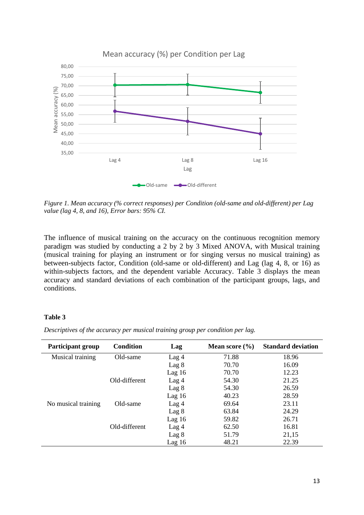

*Figure 1. Mean accuracy (% correct responses) per Condition (old-same and old-different) per Lag value (lag 4, 8, and 16), Error bars: 95% CI.*

The influence of musical training on the accuracy on the continuous recognition memory paradigm was studied by conducting a 2 by 2 by 3 Mixed ANOVA, with Musical training (musical training for playing an instrument or for singing versus no musical training) as between-subjects factor, Condition (old-same or old-different) and Lag (lag 4, 8, or 16) as within-subjects factors, and the dependent variable Accuracy. Table 3 displays the mean accuracy and standard deviations of each combination of the participant groups, lags, and conditions.

#### **Table 3**

*Descriptives of the accuracy per musical training group per condition per lag.*

| <b>Participant group</b> | <b>Condition</b> | Lag              | Mean score $(\% )$ | <b>Standard deviation</b> |
|--------------------------|------------------|------------------|--------------------|---------------------------|
| Musical training         | Old-same         | Lag <sub>4</sub> | 71.88              | 18.96                     |
|                          |                  | Lag 8            | 70.70              | 16.09                     |
|                          |                  | Lag $16$         | 70.70              | 12.23                     |
|                          | Old-different    | Lag <sub>4</sub> | 54.30              | 21.25                     |
|                          |                  | Lag 8            | 54.30              | 26.59                     |
|                          |                  | Lag16            | 40.23              | 28.59                     |
| No musical training      | Old-same         | Lag <sub>4</sub> | 69.64              | 23.11                     |
|                          |                  | Lag 8            | 63.84              | 24.29                     |
|                          |                  | Lag $16$         | 59.82              | 26.71                     |
|                          | Old-different    | Lag <sub>4</sub> | 62.50              | 16.81                     |
|                          |                  | Lag <sub>8</sub> | 51.79              | 21,15                     |
|                          |                  | Lag16            | 48.21              | 22.39                     |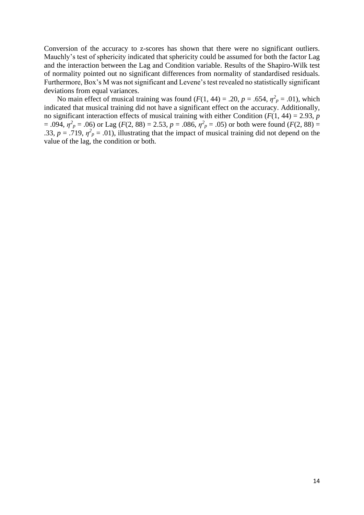Conversion of the accuracy to z-scores has shown that there were no significant outliers. Mauchly's test of sphericity indicated that sphericity could be assumed for both the factor Lag and the interaction between the Lag and Condition variable. Results of the Shapiro-Wilk test of normality pointed out no significant differences from normality of standardised residuals. Furthermore, Box's M was not significant and Levene's test revealed no statistically significant deviations from equal variances.

No main effect of musical training was found  $(F(1, 44) = .20, p = .654, \eta^2_p = .01)$ , which indicated that musical training did not have a significant effect on the accuracy. Additionally, no significant interaction effects of musical training with either Condition ( $F(1, 44) = 2.93$ ,  $p$  $= .094$ ,  $\eta^2_p = .06$ ) or Lag (*F*(2, 88) = 2.53, *p* = .086,  $\eta^2_p = .05$ ) or both were found (*F*(2, 88) = .33,  $p = .719$ ,  $\eta^2$ <sub>p</sub> = .01), illustrating that the impact of musical training did not depend on the value of the lag, the condition or both.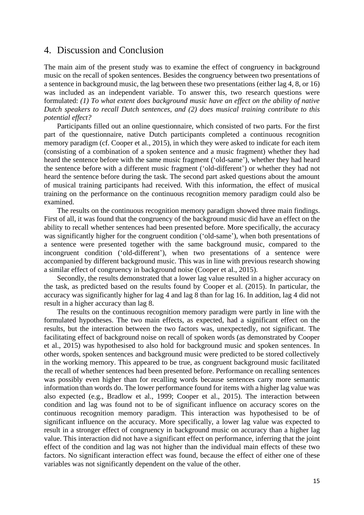## <span id="page-17-0"></span>4. Discussion and Conclusion

The main aim of the present study was to examine the effect of congruency in background music on the recall of spoken sentences. Besides the congruency between two presentations of a sentence in background music, the lag between these two presentations (either lag 4, 8, or 16) was included as an independent variable. To answer this, two research questions were formulated: *(1) To what extent does background music have an effect on the ability of native Dutch speakers to recall Dutch sentences, and (2) does musical training contribute to this potential effect?*

Participants filled out an online questionnaire, which consisted of two parts. For the first part of the questionnaire, native Dutch participants completed a continuous recognition memory paradigm (cf. Cooper et al., 2015), in which they were asked to indicate for each item (consisting of a combination of a spoken sentence and a music fragment) whether they had heard the sentence before with the same music fragment ('old-same'), whether they had heard the sentence before with a different music fragment ('old-different') or whether they had not heard the sentence before during the task. The second part asked questions about the amount of musical training participants had received. With this information, the effect of musical training on the performance on the continuous recognition memory paradigm could also be examined.

The results on the continuous recognition memory paradigm showed three main findings. First of all, it was found that the congruency of the background music did have an effect on the ability to recall whether sentences had been presented before. More specifically, the accuracy was significantly higher for the congruent condition ('old-same'), when both presentations of a sentence were presented together with the same background music, compared to the incongruent condition ('old-different'), when two presentations of a sentence were accompanied by different background music. This was in line with previous research showing a similar effect of congruency in background noise (Cooper et al., 2015).

Secondly, the results demonstrated that a lower lag value resulted in a higher accuracy on the task, as predicted based on the results found by Cooper et al. (2015). In particular, the accuracy was significantly higher for lag 4 and lag 8 than for lag 16. In addition, lag 4 did not result in a higher accuracy than lag 8.

The results on the continuous recognition memory paradigm were partly in line with the formulated hypotheses. The two main effects, as expected, had a significant effect on the results, but the interaction between the two factors was, unexpectedly, not significant. The facilitating effect of background noise on recall of spoken words (as demonstrated by Cooper et al., 2015) was hypothesised to also hold for background music and spoken sentences. In other words, spoken sentences and background music were predicted to be stored collectively in the working memory. This appeared to be true, as congruent background music facilitated the recall of whether sentences had been presented before. Performance on recalling sentences was possibly even higher than for recalling words because sentences carry more semantic information than words do. The lower performance found for items with a higher lag value was also expected (e.g., Bradlow et al., 1999; Cooper et al., 2015). The interaction between condition and lag was found not to be of significant influence on accuracy scores on the continuous recognition memory paradigm. This interaction was hypothesised to be of significant influence on the accuracy. More specifically, a lower lag value was expected to result in a stronger effect of congruency in background music on accuracy than a higher lag value. This interaction did not have a significant effect on performance, inferring that the joint effect of the condition and lag was not higher than the individual main effects of these two factors. No significant interaction effect was found, because the effect of either one of these variables was not significantly dependent on the value of the other.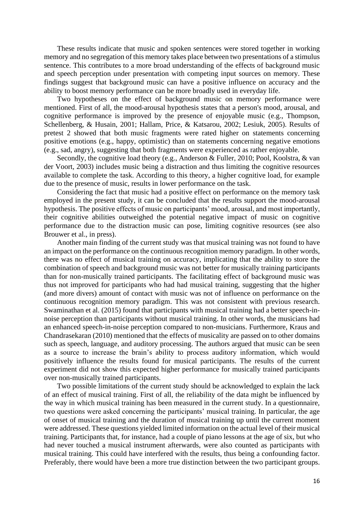These results indicate that music and spoken sentences were stored together in working memory and no segregation of this memory takes place between two presentations of a stimulus sentence. This contributes to a more broad understanding of the effects of background music and speech perception under presentation with competing input sources on memory. These findings suggest that background music can have a positive influence on accuracy and the ability to boost memory performance can be more broadly used in everyday life.

Two hypotheses on the effect of background music on memory performance were mentioned. First of all, the mood-arousal hypothesis states that a person's mood, arousal, and cognitive performance is improved by the presence of enjoyable music (e.g., Thompson, Schellenberg, & Husain, 2001; Hallam, Price, & Katsarou, 2002; Lesiuk, 2005). Results of pretest 2 showed that both music fragments were rated higher on statements concerning positive emotions (e.g., happy, optimistic) than on statements concerning negative emotions (e.g., sad, angry), suggesting that both fragments were experienced as rather enjoyable.

Secondly, the cognitive load theory (e.g., Anderson & Fuller, 2010; Pool, Koolstra, & van der Voort, 2003) includes music being a distraction and thus limiting the cognitive resources available to complete the task. According to this theory, a higher cognitive load, for example due to the presence of music, results in lower performance on the task.

Considering the fact that music had a positive effect on performance on the memory task employed in the present study, it can be concluded that the results support the mood-arousal hypothesis. The positive effects of music on participants' mood, arousal, and most importantly, their cognitive abilities outweighed the potential negative impact of music on cognitive performance due to the distraction music can pose, limiting cognitive resources (see also Brouwer et al., in press).

Another main finding of the current study was that musical training was not found to have an impact on the performance on the continuous recognition memory paradigm. In other words, there was no effect of musical training on accuracy, implicating that the ability to store the combination of speech and background music was not better for musically training participants than for non-musically trained participants. The facilitating effect of background music was thus not improved for participants who had had musical training, suggesting that the higher (and more divers) amount of contact with music was not of influence on performance on the continuous recognition memory paradigm. This was not consistent with previous research. Swaminathan et al. (2015) found that participants with musical training had a better speech-innoise perception than participants without musical training. In other words, the musicians had an enhanced speech-in-noise perception compared to non-musicians. Furthermore, Kraus and Chandrasekaran (2010) mentioned that the effects of musicality are passed on to other domains such as speech, language, and auditory processing. The authors argued that music can be seen as a source to increase the brain's ability to process auditory information, which would positively influence the results found for musical participants. The results of the current experiment did not show this expected higher performance for musically trained participants over non-musically trained participants.

Two possible limitations of the current study should be acknowledged to explain the lack of an effect of musical training. First of all, the reliability of the data might be influenced by the way in which musical training has been measured in the current study. In a questionnaire, two questions were asked concerning the participants' musical training. In particular, the age of onset of musical training and the duration of musical training up until the current moment were addressed. These questions yielded limited information on the actual level of their musical training. Participants that, for instance, had a couple of piano lessons at the age of six, but who had never touched a musical instrument afterwards, were also counted as participants with musical training. This could have interfered with the results, thus being a confounding factor. Preferably, there would have been a more true distinction between the two participant groups.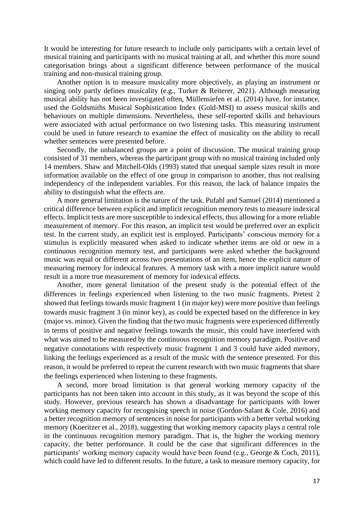It would be interesting for future research to include only participants with a certain level of musical training and participants with no musical training at all, and whether this more sound categorisation brings about a significant difference between performance of the musical training and non-musical training group.

Another option is to measure musicality more objectively, as playing an instrument or singing only partly defines musicality (e.g., Turker & Reiterer, 2021). Although measuring musical ability has not been investigated often, Müllensiefen et al. (2014) have, for instance, used the Goldsmiths Musical Sophistication Index (Gold-MSI) to assess musical skills and behaviours on multiple dimensions. Nevertheless, these self-reported skills and behaviours were associated with actual performance on two listening tasks. This measuring instrument could be used in future research to examine the effect of musicality on the ability to recall whether sentences were presented before.

Secondly, the unbalanced groups are a point of discussion. The musical training group consisted of 31 members, whereas the participant group with no musical training included only 14 members. Shaw and Mitchell-Olds (1993) stated that unequal sample sizes result in more information available on the effect of one group in comparison to another, thus not realising independency of the independent variables. For this reason, the lack of balance impairs the ability to distinguish what the effects are.

A more general limitation is the nature of the task. Pufahl and Samuel (2014) mentioned a critical difference between explicit and implicit recognition memory tests to measure indexical effects. Implicit tests are more susceptible to indexical effects, thus allowing for a more reliable measurement of memory. For this reason, an implicit test would be preferred over an explicit test. In the current study, an explicit test is employed. Participants' conscious memory for a stimulus is explicitly measured when asked to indicate whether items are old or new in a continuous recognition memory test, and participants were asked whether the background music was equal or different across two presentations of an item, hence the explicit nature of measuring memory for indexical features. A memory task with a more implicit nature would result in a more true measurement of memory for indexical effects.

Another, more general limitation of the present study is the potential effect of the differences in feelings experienced when listening to the two music fragments. Pretest 2 showed that feelings towards music fragment 1 (in major key) were more positive than feelings towards music fragment 3 (in minor key), as could be expected based on the difference in key (major vs. minor). Given the finding that the two music fragments were experienced differently in terms of positive and negative feelings towards the music, this could have interfered with what was aimed to be measured by the continuous recognition memory paradigm. Positive and negative connotations with respectively music fragment 1 and 3 could have aided memory, linking the feelings experienced as a result of the music with the sentence presented. For this reason, it would be preferred to repeat the current research with two music fragments that share the feelings experienced when listening to these fragments.

A second, more broad limitation is that general working memory capacity of the participants has not been taken into account in this study, as it was beyond the scope of this study. However, previous research has shown a disadvantage for participants with lower working memory capacity for recognising speech in noise (Gordon-Salant & Cole, 2016) and a better recognition memory of sentences in noise for participants with a better verbal working memory (Koeritzer et al., 2018), suggesting that working memory capacity plays a central role in the continuous recognition memory paradigm. That is, the higher the working memory capacity, the better performance. It could be the case that significant differences in the participants' working memory capacity would have been found (e.g., George & Coch, 2011), which could have led to different results. In the future, a task to measure memory capacity, for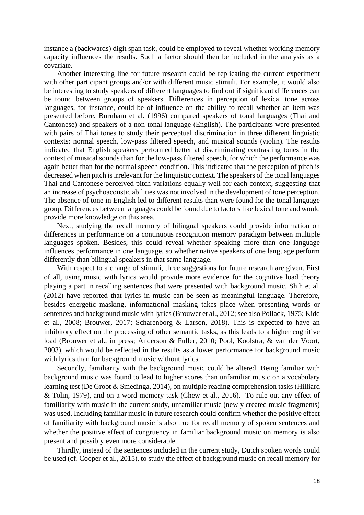instance a (backwards) digit span task, could be employed to reveal whether working memory capacity influences the results. Such a factor should then be included in the analysis as a covariate.

Another interesting line for future research could be replicating the current experiment with other participant groups and/or with different music stimuli. For example, it would also be interesting to study speakers of different languages to find out if significant differences can be found between groups of speakers. Differences in perception of lexical tone across languages, for instance, could be of influence on the ability to recall whether an item was presented before. Burnham et al. (1996) compared speakers of tonal languages (Thai and Cantonese) and speakers of a non-tonal language (English). The participants were presented with pairs of Thai tones to study their perceptual discrimination in three different linguistic contexts: normal speech, low-pass filtered speech, and musical sounds (violin). The results indicated that English speakers performed better at discriminating contrasting tones in the context of musical sounds than for the low-pass filtered speech, for which the performance was again better than for the normal speech condition. This indicated that the perception of pitch is decreased when pitch is irrelevant for the linguistic context. The speakers of the tonal languages Thai and Cantonese perceived pitch variations equally well for each context, suggesting that an increase of psychoacoustic abilities was not involved in the development of tone perception. The absence of tone in English led to different results than were found for the tonal language group. Differences between languages could be found due to factors like lexical tone and would provide more knowledge on this area.

Next, studying the recall memory of bilingual speakers could provide information on differences in performance on a continuous recognition memory paradigm between multiple languages spoken. Besides, this could reveal whether speaking more than one language influences performance in one language, so whether native speakers of one language perform differently than bilingual speakers in that same language.

With respect to a change of stimuli, three suggestions for future research are given. First of all, using music with lyrics would provide more evidence for the cognitive load theory playing a part in recalling sentences that were presented with background music. Shih et al. (2012) have reported that lyrics in music can be seen as meaningful language. Therefore, besides energetic masking, informational masking takes place when presenting words or sentences and background music with lyrics (Brouwer et al., 2012; see also Pollack, 1975; Kidd et al., 2008; Brouwer, 2017; Scharenborg & Larson, 2018). This is expected to have an inhibitory effect on the processing of other semantic tasks, as this leads to a higher cognitive load (Brouwer et al., in press; Anderson & Fuller, 2010; Pool, Koolstra, & van der Voort, 2003), which would be reflected in the results as a lower performance for background music with lyrics than for background music without lyrics.

Secondly, familiarity with the background music could be altered. Being familiar with background music was found to lead to higher scores than unfamiliar music on a vocabulary learning test (De Groot & Smedinga, 2014), on multiple reading comprehension tasks (Hilliard & Tolin, 1979), and on a word memory task (Chew et al., 2016). To rule out any effect of familiarity with music in the current study, unfamiliar music (newly created music fragments) was used. Including familiar music in future research could confirm whether the positive effect of familiarity with background music is also true for recall memory of spoken sentences and whether the positive effect of congruency in familiar background music on memory is also present and possibly even more considerable.

Thirdly, instead of the sentences included in the current study, Dutch spoken words could be used (cf. Cooper et al., 2015), to study the effect of background music on recall memory for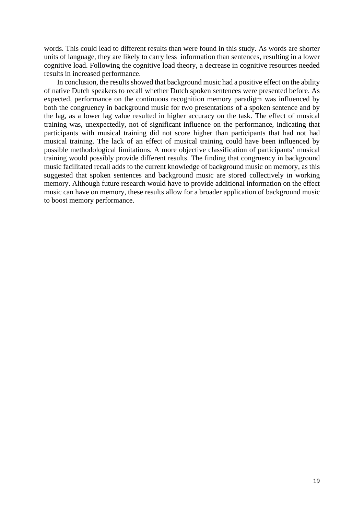words. This could lead to different results than were found in this study. As words are shorter units of language, they are likely to carry less information than sentences, resulting in a lower cognitive load. Following the cognitive load theory, a decrease in cognitive resources needed results in increased performance.

In conclusion, the results showed that background music had a positive effect on the ability of native Dutch speakers to recall whether Dutch spoken sentences were presented before. As expected, performance on the continuous recognition memory paradigm was influenced by both the congruency in background music for two presentations of a spoken sentence and by the lag, as a lower lag value resulted in higher accuracy on the task. The effect of musical training was, unexpectedly, not of significant influence on the performance, indicating that participants with musical training did not score higher than participants that had not had musical training. The lack of an effect of musical training could have been influenced by possible methodological limitations. A more objective classification of participants' musical training would possibly provide different results. The finding that congruency in background music facilitated recall adds to the current knowledge of background music on memory, as this suggested that spoken sentences and background music are stored collectively in working memory. Although future research would have to provide additional information on the effect music can have on memory, these results allow for a broader application of background music to boost memory performance.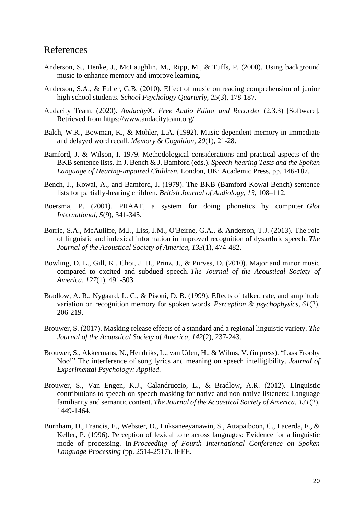## <span id="page-22-0"></span>References

- Anderson, S., Henke, J., McLaughlin, M., Ripp, M., & Tuffs, P. (2000). Using background music to enhance memory and improve learning.
- Anderson, S.A., & Fuller, G.B. (2010). Effect of music on reading comprehension of junior high school students. *School Psychology Quarterly, 25*(3), 178-187.
- Audacity Team. (2020). *Audacity*®*: Free Audio Editor and Recorder* (2.3.3) [Software]. Retrieved from<https://www.audacityteam.org/>
- Balch, W.R., Bowman, K., & Mohler, L.A. (1992). Music-dependent memory in immediate and delayed word recall. *Memory & Cognition, 20*(1), 21-28.
- Bamford, J. & Wilson, I. 1979. Methodological considerations and practical aspects of the BKB sentence lists. In J. Bench & J. Bamford (eds.). *Speech-hearing Tests and the Spoken Language of Hearing-impaired Children.* London, UK: Academic Press, pp. 146-187.
- Bench, J., Kowal, A., and Bamford, J. (1979). The BKB (Bamford-Kowal-Bench) sentence lists for partially-hearing children. *British Journal of Audiology, 13,* 108–112.
- Boersma, P. (2001). PRAAT, a system for doing phonetics by computer. *Glot International*, *5*(9), 341-345.
- Borrie, S.A., McAuliffe, M.J., Liss, J.M., O'Beirne, G.A., & Anderson, T.J. (2013). The role of linguistic and indexical information in improved recognition of dysarthric speech. *The Journal of the Acoustical Society of America*, *133*(1), 474-482.
- Bowling, D. L., Gill, K., Choi, J. D., Prinz, J., & Purves, D. (2010). Major and minor music compared to excited and subdued speech. *The Journal of the Acoustical Society of America*, *127*(1), 491-503.
- Bradlow, A. R., Nygaard, L. C., & Pisoni, D. B. (1999). Effects of talker, rate, and amplitude variation on recognition memory for spoken words. *Perception & psychophysics*, *61*(2), 206-219.
- Brouwer, S. (2017). Masking release effects of a standard and a regional linguistic variety. *The Journal of the Acoustical Society of America, 142*(2), 237-243.
- Brouwer, S., Akkermans, N., Hendriks, L., van Uden, H., & Wilms, V. (in press). "Lass Frooby Noo!" The interference of song lyrics and meaning on speech intelligibility. *Journal of Experimental Psychology: Applied.*
- Brouwer, S., Van Engen, K.J., Calandruccio, L., & Bradlow, A.R. (2012). Linguistic contributions to speech-on-speech masking for native and non-native listeners: Language familiarity and semantic content. *The Journal of the Acoustical Society of America*, *131*(2), 1449-1464.
- Burnham, D., Francis, E., Webster, D., Luksaneeyanawin, S., Attapaiboon, C., Lacerda, F., & Keller, P. (1996). Perception of lexical tone across languages: Evidence for a linguistic mode of processing. In *Proceeding of Fourth International Conference on Spoken Language Processing* (pp. 2514-2517). IEEE.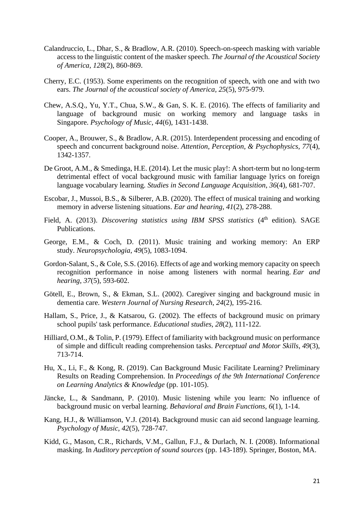- Calandruccio, L., Dhar, S., & Bradlow, A.R. (2010). Speech-on-speech masking with variable access to the linguistic content of the masker speech. *The Journal of the Acoustical Society of America, 128*(2), 860-869.
- Cherry, E.C. (1953). Some experiments on the recognition of speech, with one and with two ears. *The Journal of the acoustical society of America, 25*(5), 975-979.
- Chew, A.S.Q., Yu, Y.T., Chua, S.W., & Gan, S. K. E. (2016). The effects of familiarity and language of background music on working memory and language tasks in Singapore. *Psychology of Music*, *44*(6), 1431-1438.
- Cooper, A., Brouwer, S., & Bradlow, A.R. (2015). Interdependent processing and encoding of speech and concurrent background noise. *Attention, Perception, & Psychophysics, 77*(4), 1342-1357.
- De Groot, A.M., & Smedinga, H.E. (2014). Let the music play!: A short-term but no long-term detrimental effect of vocal background music with familiar language lyrics on foreign language vocabulary learning. *Studies in Second Language Acquisition*, *36*(4), 681-707.
- Escobar, J., Mussoi, B.S., & Silberer, A.B. (2020). The effect of musical training and working memory in adverse listening situations. *Ear and hearing*, *41*(2), 278-288.
- Field, A. (2013). *Discovering statistics using IBM SPSS statistics* (4<sup>th</sup> edition). SAGE Publications.
- George, E.M., & Coch, D. (2011). Music training and working memory: An ERP study. *Neuropsychologia*, *49*(5), 1083-1094.
- Gordon-Salant, S., & Cole, S.S. (2016). Effects of age and working memory capacity on speech recognition performance in noise among listeners with normal hearing. *Ear and hearing*, *37*(5), 593-602.
- Götell, E., Brown, S., & Ekman, S.L. (2002). Caregiver singing and background music in dementia care. *Western Journal of Nursing Research*, *24*(2), 195-216.
- Hallam, S., Price, J., & Katsarou, G. (2002). The effects of background music on primary school pupils' task performance. *Educational studies*, *28*(2), 111-122.
- Hilliard, O.M., & Tolin, P. (1979). Effect of familiarity with background music on performance of simple and difficult reading comprehension tasks. *Perceptual and Motor Skills*, *49*(3), 713-714.
- Hu, X., Li, F., & Kong, R. (2019). Can Background Music Facilitate Learning? Preliminary Results on Reading Comprehension. In *Proceedings of the 9th International Conference on Learning Analytics & Knowledge* (pp. 101-105).
- Jäncke, L., & Sandmann, P. (2010). Music listening while you learn: No influence of background music on verbal learning. *Behavioral and Brain Functions, 6*(1), 1-14.
- Kang, H.J., & Williamson, V.J. (2014). Background music can aid second language learning. *Psychology of Music*, *42*(5), 728-747.
- Kidd, G., Mason, C.R., Richards, V.M., Gallun, F.J., & Durlach, N. I. (2008). Informational masking. In *Auditory perception of sound sources* (pp. 143-189). Springer, Boston, MA.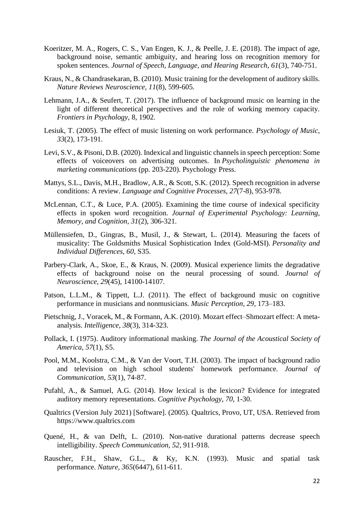- Koeritzer, M. A., Rogers, C. S., Van Engen, K. J., & Peelle, J. E. (2018). The impact of age, background noise, semantic ambiguity, and hearing loss on recognition memory for spoken sentences. *Journal of Speech, Language, and Hearing Research*, *61*(3), 740-751.
- Kraus, N., & Chandrasekaran, B. (2010). Music training for the development of auditory skills. *Nature Reviews Neuroscience, 11*(8), 599-605.
- Lehmann, J.A., & Seufert, T. (2017). The influence of background music on learning in the light of different theoretical perspectives and the role of working memory capacity. *Frontiers in Psychology*, 8, 1902.
- Lesiuk, T. (2005). The effect of music listening on work performance. *Psychology of Music, 33*(2), 173-191.
- Levi, S.V., & Pisoni, D.B. (2020). Indexical and linguistic channels in speech perception: Some effects of voiceovers on advertising outcomes. In *Psycholinguistic phenomena in marketing communications* (pp. 203-220). Psychology Press.
- Mattys, S.L., Davis, M.H., Bradlow, A.R., & Scott, S.K. (2012). Speech recognition in adverse conditions: A review. *Language and Cognitive Processes*, *27*(7-8), 953-978.
- McLennan, C.T., & Luce, P.A. (2005). Examining the time course of indexical specificity effects in spoken word recognition. *Journal of Experimental Psychology: Learning, Memory, and Cognition, 31*(2), 306-321.
- Müllensiefen, D., Gingras, B., Musil, J., & Stewart, L. (2014). Measuring the facets of musicality: The Goldsmiths Musical Sophistication Index (Gold-MSI). *Personality and Individual Differences*, *60*, S35.
- Parbery-Clark, A., Skoe, E., & Kraus, N. (2009). Musical experience limits the degradative effects of background noise on the neural processing of sound. *Journal of Neuroscience*, *29*(45), 14100-14107.
- Patson, L.L.M., & Tippett, L.J. (2011). The effect of background music on cognitive performance in musicians and nonmusicians. *Music Perception, 29*, 173–183.
- Pietschnig, J., Voracek, M., & Formann, A.K. (2010). Mozart effect–Shmozart effect: A metaanalysis. *Intelligence*, *38*(3), 314-323.
- Pollack, I. (1975). Auditory informational masking. *The Journal of the Acoustical Society of America*, *57*(1), S5.
- Pool, M.M., Koolstra, C.M., & Van der Voort, T.H. (2003). The impact of background radio and television on high school students' homework performance. *Journal of Communication, 53*(1), 74-87.
- Pufahl, A., & Samuel, A.G. (2014). How lexical is the lexicon? Evidence for integrated auditory memory representations. *Cognitive Psychology*, *70*, 1-30.
- Qualtrics (Version July 2021) [Software]. (2005). Qualtrics, Provo, UT, USA. Retrieved from [https://www.qualtrics.com](https://www.qualtrics.com/)
- Quené, H., & van Delft, L. (2010). Non-native durational patterns decrease speech intelligibility. *Speech Communication, 52*, 911-918.
- Rauscher, F.H., Shaw, G.L., & Ky, K.N. (1993). Music and spatial task performance. *Nature*, *365*(6447), 611-611.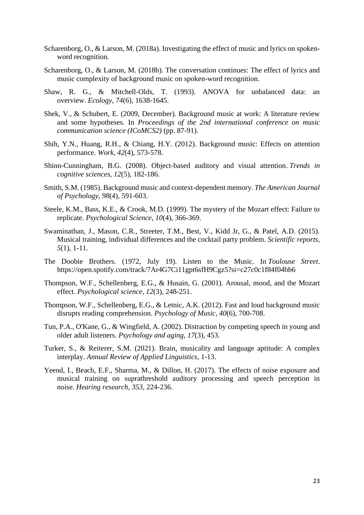- Scharenborg, O., & Larson, M. (2018a). Investigating the effect of music and lyrics on spokenword recognition.
- Scharenborg, O., & Larson, M. (2018b). The conversation continues: The effect of lyrics and music complexity of background music on spoken-word recognition.
- Shaw, R. G., & Mitchell-Olds, T. (1993). ANOVA for unbalanced data: an overview. *Ecology*, *74*(6), 1638-1645.
- Shek, V., & Schubert, E. (2009, December). Background music at work: A literature review and some hypotheses. In *Proceedings of the 2nd international conference on music communication science (ICoMCS2)* (pp. 87-91).
- Shih, Y.N., Huang, R.H., & Chiang, H.Y. (2012). Background music: Effects on attention performance. *Work, 42*(4), 573-578.
- Shinn-Cunningham, B.G. (2008). Object-based auditory and visual attention. *Trends in cognitive sciences*, *12*(5), 182-186.
- Smith, S.M. (1985). Background music and context-dependent memory. *The American Journal of Psychology*, *98*(4), 591-603.
- Steele, K.M., Bass, K.E., & Crook, M.D. (1999). The mystery of the Mozart effect: Failure to replicate. *Psychological Science*, *10*(4), 366-369.
- Swaminathan, J., Mason, C.R., Streeter, T.M., Best, V., Kidd Jr, G., & Patel, A.D. (2015). Musical training, individual differences and the cocktail party problem. *Scientific reports, 5*(1), 1-11.
- The Doobie Brothers. (1972, July 19). Listen to the Music. In *Toulouse Street*. <https://open.spotify.com/track/7Ar4G7Ci11gpt6sfH9Cgz5?si=c27c0c1f84f04bb6>
- Thompson, W.F., Schellenberg, E.G., & Husain, G. (2001). Arousal, mood, and the Mozart effect. *Psychological science, 12*(3), 248-251.
- Thompson, W.F., Schellenberg, E.G., & Letnic, A.K. (2012). Fast and loud background music disrupts reading comprehension. *Psychology of Music*, *40*(6), 700-708.
- Tun, P.A., O'Kane, G., & Wingfield, A. (2002). Distraction by competing speech in young and older adult listeners. *Psychology and aging*, *17*(3), 453.
- Turker, S., & Reiterer, S.M. (2021). Brain, musicality and language aptitude: A complex interplay. *Annual Review of Applied Linguistics*, 1-13.
- Yeend, I., Beach, E.F., Sharma, M., & Dillon, H. (2017). The effects of noise exposure and musical training on suprathreshold auditory processing and speech perception in noise. *Hearing research*, *353*, 224-236.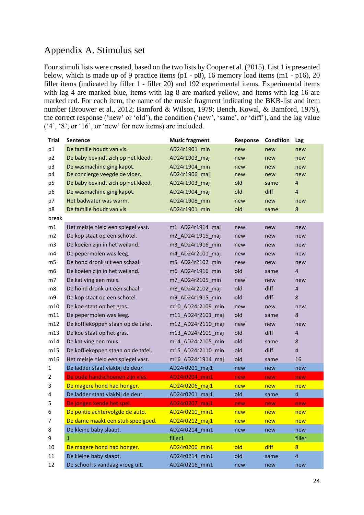## <span id="page-26-0"></span>Appendix A. Stimulus set

Four stimuli lists were created, based on the two lists by Cooper et al. (2015). List 1 is presented below, which is made up of 9 practice items (p1 - p8), 16 memory load items (m1 - p16), 20 filler items (indicated by filler 1 - filler 20) and 192 experimental items. Experimental items with lag 4 are marked blue, items with lag 8 are marked yellow, and items with lag 16 are marked red. For each item, the name of the music fragment indicating the BKB-list and item number (Brouwer et al., 2012; Bamford & Wilson, 1979; Bench, Kowal, & Bamford, 1979), the correct response ('new' or 'old'), the condition ('new', 'same', or 'diff'), and the lag value ('4', '8', or '16', or 'new' for new items) are included.

| <b>Trial</b>   | <b>Sentence</b>                    | <b>Music fragment</b> | Response   | Condition  | Lag                     |
|----------------|------------------------------------|-----------------------|------------|------------|-------------------------|
| p1             | De familie houdt van vis.          | AD24r1901 min         | new        | new        | new                     |
| p <sub>2</sub> | De baby bevindt zich op het kleed. | AD24r1903 maj         | new        | new        | new                     |
| p3             | De wasmachine ging kapot.          | AD24r1904 min         | new        | new        | new                     |
| p4             | De concierge veegde de vloer.      | AD24r1906_maj         | new        | new        | new                     |
| p <sub>5</sub> | De baby bevindt zich op het kleed. | AD24r1903_maj         | old        | same       | $\overline{4}$          |
| p6             | De wasmachine ging kapot.          | AD24r1904 maj         | old        | diff       | $\overline{4}$          |
| p7             | Het badwater was warm.             | AD24r1908 min         | new        | new        | new                     |
| p8             | De familie houdt van vis.          | AD24r1901 min         | old        | same       | 8                       |
| break          |                                    |                       |            |            |                         |
| m1             | Het meisje hield een spiegel vast. | m1 AD24r1914 maj      | new        | new        | new                     |
| m2             | De kop staat op een schotel.       | m2_AD24r1915_maj      | new        | new        | new                     |
| m <sub>3</sub> | De koeien zijn in het weiland.     | m3 AD24r1916 min      | new        | new        | new                     |
| m4             | De pepermolen was leeg.            | m4_AD24r2101_maj      | new        | new        | new                     |
| m5             | De hond dronk uit een schaal.      | m5 AD24r2102 min      | new        | new        | new                     |
| m <sub>6</sub> | De koeien zijn in het weiland.     | m6 AD24r1916 min      | old        | same       | 4                       |
| m7             | De kat ving een muis.              | m7_AD24r2105_min      | new        | new        | new                     |
| m8             | De hond dronk uit een schaal.      | m8 AD24r2102 maj      | old        | diff       | $\overline{4}$          |
| m9             | De kop staat op een schotel.       | m9_AD24r1915_min      | old        | diff       | 8                       |
| m10            | De koe staat op het gras.          | m10 AD24r2109 min     | new        | new        | new                     |
| m11            | De pepermolen was leeg.            | m11 AD24r2101 maj     | old        | same       | 8                       |
| m12            | De koffiekoppen staan op de tafel. | m12 AD24r2110 maj     | new        | new        | new                     |
| m13            | De koe staat op het gras.          | m13 AD24r2109 maj     | old        | diff       | $\overline{4}$          |
| m14            | De kat ving een muis.              | m14_AD24r2105_min     | old        | same       | 8                       |
| m15            | De koffiekoppen staan op de tafel. | m15 AD24r2110 min     | old        | diff       | $\overline{4}$          |
| m16            | Het meisje hield een spiegel vast. | m16_AD24r1914_maj     | old        | same       | 16                      |
| $\mathbf{1}$   | De ladder staat vlakbij de deur.   | AD24r0201_maj1        | new        | new        | new                     |
| 2              | De oude handschoenen zijn vies.    | AD24r0204 min1        | new        | new        | new                     |
| 3              | De magere hond had honger.         | AD24r0206 maj1        | new        | new        | new                     |
| 4              | De ladder staat vlakbij de deur.   | AD24r0201 maj1        | old        | same       | 4                       |
| 5              | De jongen kende het spel.          | AD24r0207_maj1        | new        | new        | new                     |
| 6              | De politie achtervolgde de auto.   | AD24r0210_min1        | <u>new</u> | <u>new</u> | <u>new</u>              |
| 7              | De dame maakt een stuk speelgoed.  | AD24r0212 maj1        | new        | new        | new                     |
| 8              | De kleine baby slaapt.             | AD24r0214 min1        | new        | new        | new                     |
| 9              | $\mathbf{1}$                       | filler1               |            |            | filler                  |
| 10             | De magere hond had honger.         | AD24r0206 min1        | old        | diff       | $\overline{8}$          |
| 11             | De kleine baby slaapt.             | AD24r0214 min1        | old        | same       | $\overline{\mathbf{4}}$ |
| 12             | De school is vandaag vroeg uit.    | AD24r0216_min1        | new        | new        | new                     |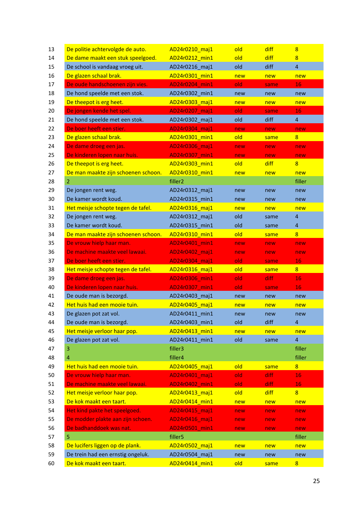| 13 | De politie achtervolgde de auto.    | AD24r0210 maj1      | old        | diff | $8\phantom{1}$          |
|----|-------------------------------------|---------------------|------------|------|-------------------------|
| 14 | De dame maakt een stuk speelgoed.   | AD24r0212 min1      | old        | diff | $\overline{8}$          |
| 15 | De school is vandaag vroeg uit.     | AD24r0216 maj1      | old        | diff | $\overline{4}$          |
| 16 | De glazen schaal brak.              | AD24r0301 min1      | new        | new  | new                     |
| 17 | De oude handschoenen zijn vies.     | AD24r0204 min1      | old        | same | 16                      |
| 18 | De hond speelde met een stok.       | AD24r0302 min1      | new        | new  | new                     |
| 19 | De theepot is erg heet.             | AD24r0303_maj1      | new        | new  | new                     |
| 20 | De jongen kende het spel.           | AD24r0207_maj1      | old        | same | 16                      |
| 21 | De hond speelde met een stok.       | AD24r0302_maj1      | old        | diff | $\overline{\mathbf{4}}$ |
| 22 | De boer heeft een stier.            | AD24r0304 maj1      | new        | new  | new                     |
| 23 | De glazen schaal brak.              | AD24r0301 min1      | old        | same | 8 <sup>2</sup>          |
| 24 | De dame droeg een jas.              | AD24r0306 maj1      | new        | new  | new                     |
| 25 | De kinderen lopen naar huis.        | AD24r0307 min1      | new        | new  | new                     |
| 26 | De theepot is erg heet.             | AD24r0303 min1      | old        | diff | $8\phantom{1}$          |
| 27 | De man maakte zijn schoenen schoon. | AD24r0310 min1      | new        | new  | new                     |
| 28 | 2                                   | filler <sub>2</sub> |            |      | filler                  |
| 29 | De jongen rent weg.                 | AD24r0312_maj1      | new        | new  | new                     |
| 30 | De kamer wordt koud.                | AD24r0315 min1      |            |      | new                     |
| 31 | Het meisje schopte tegen de tafel.  | AD24r0316 maj1      | new<br>new | new  | new                     |
| 32 |                                     | AD24r0312_maj1      | old        | new  | $\overline{\mathbf{4}}$ |
|    | De jongen rent weg.                 |                     |            | same |                         |
| 33 | De kamer wordt koud.                | AD24r0315 min1      | old        | same | 4                       |
| 34 | De man maakte zijn schoenen schoon. | AD24r0310 min1      | old        | same | $\overline{8}$          |
| 35 | De vrouw hielp haar man.            | AD24r0401 min1      | new        | new  | new                     |
|    | De machine maakte veel lawaai.      |                     | new        | new  | new                     |
| 36 |                                     | AD24r0402_maj1      |            |      |                         |
| 37 | De boer heeft een stier.            | AD24r0304 maj1      | old        | same | 16                      |
| 38 | Het meisje schopte tegen de tafel.  | AD24r0316_maj1      | old        | same | $\overline{8}$          |
| 39 | De dame droeg een jas.              | AD24r0306_min1      | old        | diff | 16                      |
| 40 | De kinderen lopen naar huis.        | AD24r0307_min1      | old        | same | 16                      |
| 41 | De oude man is bezorgd.             | AD24r0403_maj1      | new        | new  | new                     |
| 42 | Het huis had een mooie tuin.        | AD24r0405_maj1      | new        | new  | new                     |
| 43 | De glazen pot zat vol.              | AD24r0411_min1      | new        | new  | new                     |
| 44 | De oude man is bezorgd.             | AD24r0403_min1      | old        | diff | $\overline{\mathbf{4}}$ |
| 45 | Het meisje verloor haar pop.        | AD24r0413 min1      | new        | new  | new                     |
| 46 | De glazen pot zat vol.              | AD24r0411_min1      | old        | same | $\overline{\mathbf{4}}$ |
| 47 | 3                                   | filler3             |            |      | filler                  |
| 48 | 4                                   | filler4             |            |      | filler                  |
| 49 | Het huis had een mooie tuin.        | AD24r0405_maj1      | old        | same | $\overline{8}$          |
| 50 | De vrouw hielp haar man.            | AD24r0401_maj1      | old        | diff | 16                      |
| 51 | De machine maakte veel lawaai.      | AD24r0402_min1      | old        | diff | 16                      |
| 52 | Het meisje verloor haar pop.        | AD24r0413 maj1      | old        | diff | $\overline{8}$          |
| 53 | De kok maakt een taart.             | AD24r0414_min1      | new        | new  | new                     |
| 54 | Het kind pakte het speelgoed.       | AD24r0415 maj1      | new        | new  | new                     |
| 55 | De modder plakte aan zijn schoen.   | AD24r0416_maj1      | new        | new  | new                     |
| 56 | De badhanddoek was nat.             | AD24r0501_min1      | new        | new  | new                     |
| 57 | 5                                   | filler <sub>5</sub> |            |      | filler                  |
| 58 | De lucifers liggen op de plank.     | AD24r0502_maj1      | new        | new  | new                     |
| 59 | De trein had een ernstig ongeluk.   | AD24r0504 maj1      | new        | new  | new                     |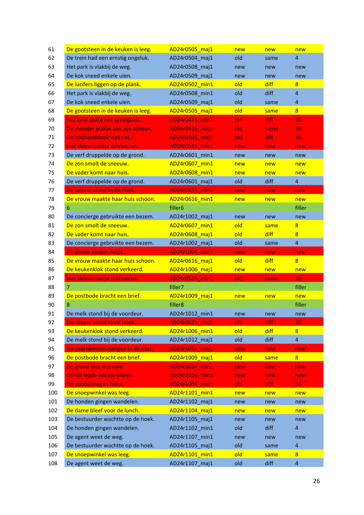| 61  | De gootsteen in de keuken is leeg. | AD24r0505 maj1      | new | new  | new                     |
|-----|------------------------------------|---------------------|-----|------|-------------------------|
| 62  | De trein had een ernstig ongeluk.  | AD24r0504 maj1      | old | same | 4                       |
| 63  | Het park is vlakbij de weg.        | AD24r0508_maj1      | new | new  | new                     |
| 64  | De kok sneed enkele uien.          | AD24r0509 maj1      | new | new  | new                     |
| 65  | De lucifers liggen op de plank.    | AD24r0502_min1      | old | diff | 8                       |
| 66  | Het park is vlakbij de weg.        | AD24r0508 min1      | old | diff | $\overline{4}$          |
| 67  | De kok sneed enkele uien.          | AD24r0509 maj1      | old | same | $\overline{\mathbf{4}}$ |
| 68  | De gootsteen in de keuken is leeg. | AD24r0505_maj1      | old | same | $8\phantom{1}$          |
| 69  | Het kind pakte het speelgoed.      | AD24r0415 min1      | old | diff | 16                      |
| 70  | De modder plakte aan zijn schoen.  | AD24r0416_maj1      | old | same | 16                      |
| 71  | De badhanddoek was nat.            | AD24r0501 maj1      | old | diff | 16                      |
| 72  | Het kleine meisje schreeuwt.       | AD24r0515 min1      | new | new  | new                     |
| 73  | De verf druppelde op de grond.     | AD24r0601 min1      | new | new  | new                     |
| 74  | De zon smolt de sneeuw.            | AD24r0607 min1      | new | new  | new                     |
| 75  | De vader komt naar huis.           | AD24r0608_min1      | new | new  | new                     |
| 76  | De verf druppelde op de grond.     | AD24r0601 maj1      | old | diff | $\overline{4}$          |
| 77  | De bezem stond in de hoek.         | AD24r0615 min1      |     |      | new                     |
|     |                                    |                     | new | new  |                         |
| 78  | De vrouw maakte haar huis schoon.  | AD24r0616 min1      | new | new  | new                     |
| 79  | 6                                  | filler <sub>6</sub> |     |      | filler                  |
| 80  | De concierge gebruikte een bezem.  | AD24r1002_maj1      | new | new  | new                     |
| 81  | De zon smolt de sneeuw.            | AD24r0607 min1      | old | same | 8                       |
| 82  | De vader komt naar huis.           | AD24r0608 maj1      | old | diff | 8                       |
| 83  | De concierge gebruikte een bezem.  | AD24r1002 maj1      | old | same | $\overline{4}$          |
| 84  | De goede jongen helpt.             | AD24r1004 min1      | new | new  | new                     |
| 85  | De vrouw maakte haar huis schoon.  | AD24r0616 maj1      | old | diff | $\overline{8}$          |
| 86  | De keukenklok stond verkeerd.      | AD24r1006 maj1      | new | new  | new                     |
| 87  | Het kleine meisje schreeuwt.       | AD24r0515 min1      | old | same | 16                      |
| 88  | $\overline{7}$                     | filler7             |     |      | filler                  |
| 89  | De postbode bracht een brief.      | AD24r1009_maj1      | new | new  | new                     |
| 90  | 8                                  | filler <sub>8</sub> |     |      | filler                  |
| 91  | De melk stond bij de voordeur.     | AD24r1012_min1      | new | new  | new                     |
| 92  | De bezem stond in de hoek.         | AD24r0615_maj1      | old | diff | 16                      |
| 93  | De keukenklok stond verkeerd.      | AD24r1006 min1      | old | diff | $\overline{8}$          |
| 94  | De melk stond bij de voordeur.     | AD24r1012_maj1      | old | diff | $\overline{\mathbf{4}}$ |
| 95  | De overhemden hangen in de kast.   | AD24r1013_maj1      | new | new  | new                     |
| 96  | De postbode bracht een brief.      | AD24r1009_maj1      | old | same | $8\phantom{1}$          |
| 97  | De grond was erg hard.             | AD24r1014 min1      | new | new  | new                     |
| 98  | De kip legde enkele eieren.        | AD24r1016_min1      | new | new  | new                     |
| 99  | De goede jongen helpt.             | AD24r1004_maj1      | old | diff | 16                      |
| 100 | De snoepwinkel was leeg.           | AD24r1101_min1      | new | new  | new                     |
| 101 | De honden gingen wandelen.         | AD24r1102_maj1      | new | new  | new                     |
| 102 | De dame bleef voor de lunch.       | AD24r1104_maj1      | new | new  | new                     |
| 103 | De bestuurder wachtte op de hoek.  | AD24r1105_maj1      | new | new  | new                     |
| 104 | De honden gingen wandelen.         | AD24r1102 min1      | old | diff | $\overline{4}$          |
| 105 | De agent weet de weg.              | AD24r1107_min1      | new | new  | new                     |
| 106 | De bestuurder wachtte op de hoek.  | AD24r1105_maj1      | old | same | $\overline{\mathbf{4}}$ |
| 107 | De snoepwinkel was leeg.           | AD24r1101 min1      | old |      | $\overline{8}$          |
|     |                                    |                     |     | same |                         |
| 108 | De agent weet de weg.              | AD24r1107_maj1      | old | diff | $\overline{4}$          |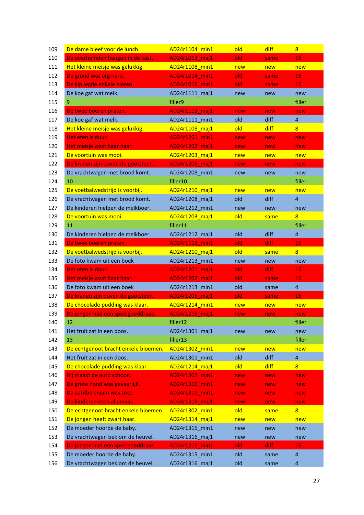| 109 | De dame bleef voor de lunch.         | AD24r1104 min1 | old | diff | 8                       |
|-----|--------------------------------------|----------------|-----|------|-------------------------|
| 110 | De overhemden hangen in de kast.     | AD24r1013 maj1 | old | same | 16                      |
| 111 | Het kleine meisje was gelukkig.      | AD24r1108_min1 | new | new  | new                     |
| 112 | De grond was erg hard.               | AD24r1014 min1 | old | same | 16                      |
| 113 | De kip legde enkele eieren.          | AD24r1016_min1 | old | same | 16                      |
| 114 | De koe gaf wat melk.                 | AD24r1111_maj1 | new | new  | new                     |
| 115 | 9.                                   | filler9        |     |      | filler                  |
| 116 | De twee boeren praten.               | AD24r1113_maj1 | new | new  | new                     |
| 117 | De koe gaf wat melk.                 | AD24r1111 min1 | old | diff | $\overline{4}$          |
| 118 | Het kleine meisje was gelukkig.      | AD24r1108_maj1 | old | diff | $\overline{8}$          |
| 119 | Het eten is duur.                    | AD24r1201 min1 | new | new  | new                     |
| 120 | Het meisje wast haar haar.           | AD24r1202 maj1 | new | new  | new                     |
| 121 | De voortuin was mooi.                | AD24r1203 maj1 | new | new  | new                     |
| 122 | De kranen zijn boven de gootsteen.   | AD24r1205 maj1 | new | new  | new                     |
| 123 | De vrachtwagen met brood komt.       | AD24r1208_min1 | new | new  | new                     |
| 124 | 10                                   | filler10       |     |      | filler                  |
| 125 | De voetbalwedstrijd is voorbij.      | AD24r1210 maj1 | new | new  | new                     |
|     | De vrachtwagen met brood komt.       |                |     |      | $\overline{\mathbf{4}}$ |
| 126 |                                      | AD24r1208 maj1 | old | diff |                         |
| 127 | De kinderen hielpen de melkboer.     | AD24r1212 min1 | new | new  | new                     |
| 128 | De voortuin was mooi.                | AD24r1203_maj1 | old | same | $\overline{8}$          |
| 129 | 11                                   | filler11       |     |      | filler                  |
| 130 | De kinderen hielpen de melkboer.     | AD24r1212_maj1 | old | diff | $\overline{4}$          |
| 131 | De twee boeren praten.               | AD24r1113 min1 | old | diff | 16                      |
| 132 | De voetbalwedstrijd is voorbij.      | AD24r1210 maj1 | old | same | 8                       |
| 133 | De foto kwam uit een boek            | AD24r1213 min1 | new | new  | new                     |
| 134 | Het eten is duur.                    | AD24r1201 maj1 | old | diff | 16                      |
| 135 | Het meisje wast haar haar.           | AD24r1202_maj1 | old | same | 16                      |
| 136 | De foto kwam uit een boek            | AD24r1213_min1 | old | same | $\overline{4}$          |
| 137 | De kranen zijn boven de gootsteen.   | AD24r1205_maj1 | old | same | 16                      |
| 138 | De chocolade pudding was klaar.      | AD24r1214_min1 | new | new  | new                     |
| 139 | De jongen had een speelgoeddraak.    | AD24r1215_maj1 | new | new  | new                     |
| 140 | 12                                   | filler12       |     |      | filler                  |
| 141 | Het fruit zat in een doos.           | AD24r1301_maj1 | new | new  | new                     |
| 142 | 13                                   | filler13       |     |      | filler                  |
| 143 | De echtgenoot bracht enkele bloemen. | AD24r1302_min1 | new | new  | new                     |
| 144 | Het fruit zat in een doos.           | AD24r1301 min1 | old | diff | $\overline{a}$          |
| 145 | De chocolade pudding was klaar.      | AD24r1214 maj1 | old | diff | $\overline{8}$          |
| 146 | Hij maakt de auto schoon.            | AD24r1307_min1 | new | new  | new                     |
| 147 | De grote hond was gevaarlijk.        | AD24r1310_min1 | new | new  | new                     |
| 148 | De aardbeienjam was zoet.            | AD24r1311_min1 | new | new  | new                     |
| 149 | De kinderen eten allemaal.           | AD24r1313_maj1 | new | new  | new                     |
| 150 | De echtgenoot bracht enkele bloemen. | AD24r1302 min1 | old | same | $\overline{8}$          |
| 151 | De jongen heeft zwart haar.          | AD24r1314_maj1 | new | new  | new                     |
| 152 | De moeder hoorde de baby.            | AD24r1315 min1 | new | new  | new                     |
| 153 | De vrachtwagen beklom de heuvel.     | AD24r1316_maj1 | new | new  | new                     |
| 154 | De jongen had een speelgoeddraak.    | AD24r1215_min1 | old | diff | 16                      |
| 155 | De moeder hoorde de baby.            | AD24r1315_min1 | old | same | $\overline{\mathbf{4}}$ |
| 156 | De vrachtwagen beklom de heuvel.     | AD24r1316_maj1 | old |      | $\overline{4}$          |
|     |                                      |                |     | same |                         |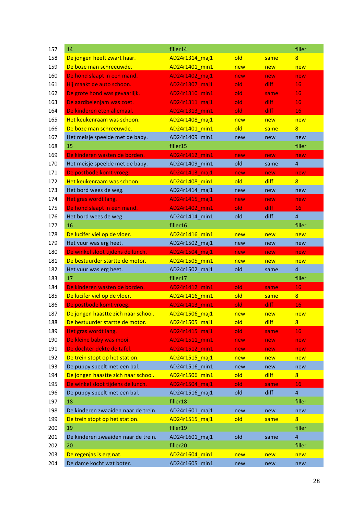| 157 | 14                                  | filler14       |     |       | filler                  |
|-----|-------------------------------------|----------------|-----|-------|-------------------------|
| 158 | De jongen heeft zwart haar.         | AD24r1314 maj1 | old | same  | $\overline{8}$          |
| 159 | De boze man schreeuwde.             | AD24r1401 min1 | new | new   | new                     |
| 160 | De hond slaapt in een mand.         | AD24r1402 maj1 | new | new   | new                     |
| 161 | Hij maakt de auto schoon.           | AD24r1307_maj1 | old | diff. | 16                      |
| 162 | De grote hond was gevaarlijk.       | AD24r1310 min1 | old | same  | 16                      |
| 163 | De aardbeienjam was zoet.           | AD24r1311_maj1 | old | diff  | 16                      |
| 164 | De kinderen eten allemaal.          | AD24r1313_min1 | old | diff  | 16                      |
| 165 | Het keukenraam was schoon.          | AD24r1408 maj1 | new | new   | new                     |
| 166 | De boze man schreeuwde.             | AD24r1401 min1 | old | same  | $8\phantom{1}$          |
| 167 | Het meisje speelde met de baby.     | AD24r1409 min1 | new | new   | new                     |
| 168 | 15                                  | filler15       |     |       | filler                  |
| 169 | De kinderen wasten de borden.       | AD24r1412_min1 | new | new   | new                     |
| 170 | Het meisje speelde met de baby.     | AD24r1409_min1 | old | same  | $\overline{\mathbf{4}}$ |
| 171 | De postbode komt vroeg.             | AD24r1413_maj1 | new | new   | new                     |
| 172 | Het keukenraam was schoon.          | AD24r1408 min1 | old | diff  | 8 <sup>2</sup>          |
| 173 | Het bord wees de weg.               | AD24r1414 maj1 | new | new   | new                     |
| 174 | Het gras wordt lang.                | AD24r1415_maj1 | new | new   | new                     |
| 175 | De hond slaapt in een mand.         | AD24r1402_min1 | old | diff  | 16                      |
| 176 | Het bord wees de weg.               | AD24r1414_min1 | old | diff  | $\overline{4}$          |
| 177 | 16                                  | filler16       |     |       | filler                  |
| 178 | De lucifer viel op de vloer.        | AD24r1416_min1 | new | new   | new                     |
| 179 | Het vuur was erg heet.              | AD24r1502 maj1 | new | new   | new                     |
| 180 | De winkel sloot tijdens de lunch.   | AD24r1504_maj1 | new | new   | new                     |
| 181 | De bestuurder startte de motor.     | AD24r1505 min1 | new | new   | new                     |
| 182 | Het vuur was erg heet.              | AD24r1502 maj1 | old | same  | $\overline{4}$          |
| 183 | 17                                  | filler17       |     |       | filler                  |
| 184 | De kinderen wasten de borden.       | AD24r1412_min1 | old | same  | 16                      |
| 185 | De lucifer viel op de vloer.        | AD24r1416_min1 | old | same  | $\overline{8}$          |
| 186 | De postbode komt vroeg.             | AD24r1413 min1 | old | diff  | 16                      |
| 187 | De jongen haastte zich naar school. | AD24r1506 maj1 | new | new   | new                     |
| 188 | De bestuurder startte de motor.     | AD24r1505_maj1 | old | diff  | $\overline{8}$          |
| 189 | Het gras wordt lang.                | AD24r1415_maj1 | old | same  | 16                      |
| 190 | De kleine baby was mooi.            | AD24r1511_min1 | new | new   | new                     |
| 191 | De dochter dekte de tafel.          | AD24r1512 min1 | new | new   | new                     |
| 192 | De trein stopt op het station.      | AD24r1515 maj1 | new | new   | new                     |
| 193 | De puppy speelt met een bal.        | AD24r1516 min1 | new | new   | new                     |
| 194 | De jongen haastte zich naar school. | AD24r1506 min1 | old | diff  | $8\phantom{1}$          |
| 195 | De winkel sloot tijdens de lunch.   | AD24r1504_maj1 | old | same  | 16                      |
| 196 | De puppy speelt met een bal.        | AD24r1516_maj1 | old | diff  | $\overline{\mathbf{4}}$ |
| 197 | 18                                  | filler18       |     |       | filler                  |
| 198 | De kinderen zwaaiden naar de trein. | AD24r1601_maj1 | new | new   | new                     |
| 199 | De trein stopt op het station.      | AD24r1515 maj1 | old | same  | $8\phantom{1}$          |
| 200 | 19                                  | filler19       |     |       | filler                  |
| 201 | De kinderen zwaaiden naar de trein. | AD24r1601_maj1 | old | same  | $\overline{\mathbf{4}}$ |
| 202 | 20                                  | filler20       |     |       | filler                  |
| 203 | De regenjas is erg nat.             | AD24r1604 min1 | new | new   | new                     |
| 204 | De dame kocht wat boter.            | AD24r1605 min1 | new | new   | new                     |